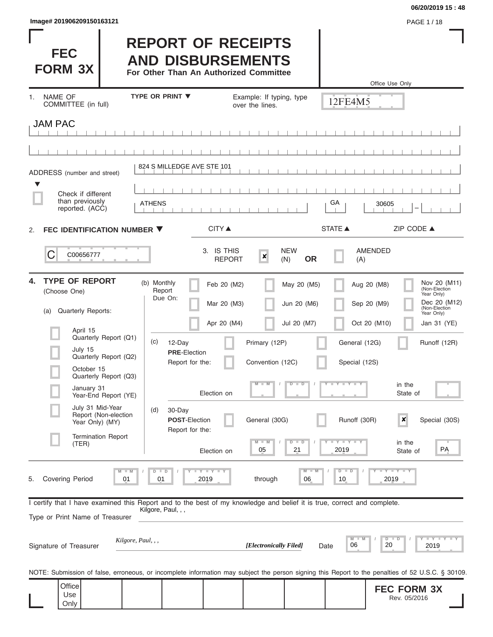**06/20/2019 15 : 48**

Rev. 05/2016

| Image# 201906209150163121                                                                                            |                                                                                                                                               | PAGE 1/18                                                                                                                                                               |                                                                                                                           |
|----------------------------------------------------------------------------------------------------------------------|-----------------------------------------------------------------------------------------------------------------------------------------------|-------------------------------------------------------------------------------------------------------------------------------------------------------------------------|---------------------------------------------------------------------------------------------------------------------------|
| <b>FEC</b><br><b>FORM 3X</b>                                                                                         | <b>REPORT OF RECEIPTS</b><br><b>AND DISBURSEMENTS</b><br>For Other Than An Authorized Committee                                               |                                                                                                                                                                         |                                                                                                                           |
|                                                                                                                      | <b>TYPE OR PRINT ▼</b>                                                                                                                        | Office Use Only                                                                                                                                                         |                                                                                                                           |
| <b>NAME OF</b><br>1.<br>COMMITTEE (in full)                                                                          | Example: If typing, type<br>over the lines.                                                                                                   | 12FE4M5                                                                                                                                                                 |                                                                                                                           |
| <b>JAM PAC</b>                                                                                                       |                                                                                                                                               |                                                                                                                                                                         |                                                                                                                           |
|                                                                                                                      |                                                                                                                                               |                                                                                                                                                                         |                                                                                                                           |
| ADDRESS (number and street)                                                                                          | 824 S MILLEDGE AVE STE 101                                                                                                                    |                                                                                                                                                                         |                                                                                                                           |
| ▼<br>Check if different<br>than previously<br>reported. (ACC)                                                        | <b>ATHENS</b>                                                                                                                                 | GА<br>30605<br>-                                                                                                                                                        |                                                                                                                           |
| FEC IDENTIFICATION NUMBER ▼<br>2.                                                                                    | <b>CITY ▲</b>                                                                                                                                 | <b>STATE ▲</b><br>ZIP CODE ▲                                                                                                                                            |                                                                                                                           |
| С<br>C00656777                                                                                                       | 3. IS THIS<br>$\pmb{\times}$<br><b>REPORT</b>                                                                                                 | <b>NEW</b><br><b>AMENDED</b><br><b>OR</b><br>(N)<br>(A)                                                                                                                 |                                                                                                                           |
| <b>TYPE OF REPORT</b><br>4.<br>(Choose One)<br><b>Quarterly Reports:</b><br>(a)<br>April 15<br>Quarterly Report (Q1) | (b) Monthly<br>Feb 20 (M2)<br>Report<br>Due On:<br>Mar 20 (M3)<br>Apr 20 (M4)<br>(c)<br>12-Day<br>Primary (12P)                               | May 20 (M5)<br>Aug 20 (M8)<br>Jun 20 (M6)<br>Sep 20 (M9)<br>Jul 20 (M7)<br>Oct 20 (M10)<br>General (12G)                                                                | Nov 20 (M11)<br>(Non-Election<br>Year Only)<br>Dec 20 (M12)<br>(Non-Election<br>Year Only)<br>Jan 31 (YE)<br>Runoff (12R) |
| July 15<br>Quarterly Report (Q2)<br>October 15<br>ш<br>Quarterly Report (Q3)                                         | <b>PRE-Election</b><br>Convention (12C)<br>Report for the:<br>$M - M$                                                                         | Special (12S)<br>Y TY TY T<br>$D$ $D$<br>in the                                                                                                                         |                                                                                                                           |
| January 31<br>Year-End Report (YE)<br>July 31 Mid-Year<br>Report (Non-election                                       | Election on<br>30-Day<br>(d)<br><b>POST-Election</b><br>General (30G)                                                                         | State of<br>$\pmb{\times}$<br>Runoff (30R)                                                                                                                              | Special (30S)                                                                                                             |
| Year Only) (MY)<br><b>Termination Report</b><br>(TER)                                                                | Report for the:<br>-M<br>05<br>Election on                                                                                                    | Y TY<br>in the<br>т<br>D<br>2019<br>21<br>State of                                                                                                                      | PA                                                                                                                        |
| <b>M</b><br><b>Covering Period</b><br>01<br>5.                                                                       | Y LY LY<br>D<br>$\Box$<br>2019<br>through<br>01                                                                                               | $Y - Y - Y$<br>$D$ $D$<br>M<br>06<br>10<br>2019                                                                                                                         |                                                                                                                           |
| Type or Print Name of Treasurer                                                                                      | I certify that I have examined this Report and to the best of my knowledge and belief it is true, correct and complete.<br>Kilgore, Paul, , , |                                                                                                                                                                         |                                                                                                                           |
| Kilgore, Paul, , ,<br>Signature of Treasurer                                                                         | [Electronically Filed]                                                                                                                        | M<br>Y<br>D<br>D<br>20<br>06<br>Date                                                                                                                                    | <b>THEY THEY</b><br>2019                                                                                                  |
| Office                                                                                                               |                                                                                                                                               | NOTE: Submission of false, erroneous, or incomplete information may subject the person signing this Report to the penalties of 52 U.S.C. § 30109.<br><b>FEC FORM 3X</b> |                                                                                                                           |

Use Only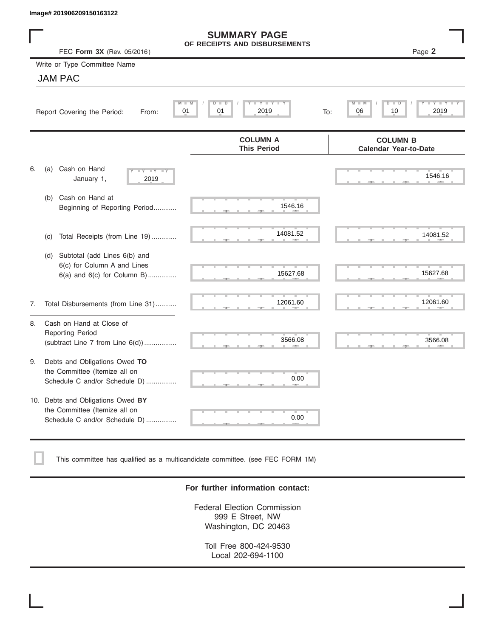|    | Image# 201906209150163122                                                                           |                                                      |                                                              |
|----|-----------------------------------------------------------------------------------------------------|------------------------------------------------------|--------------------------------------------------------------|
|    | FEC Form 3X (Rev. 05/2016)                                                                          | <b>SUMMARY PAGE</b><br>OF RECEIPTS AND DISBURSEMENTS | Page 2                                                       |
|    | Write or Type Committee Name                                                                        |                                                      |                                                              |
|    | <b>JAM PAC</b>                                                                                      |                                                      |                                                              |
|    | Report Covering the Period:<br>From:                                                                | Y I Y I<br>M<br>$D$ $\Box$<br>D<br>01<br>2019<br>01  | $\overline{\mathsf{M}}$<br>D<br>D<br>2019<br>06<br>10<br>To: |
|    |                                                                                                     | <b>COLUMN A</b><br><b>This Period</b>                | <b>COLUMN B</b><br><b>Calendar Year-to-Date</b>              |
| 6. | Cash on Hand<br>(a)<br>$-Y - Y - Y$<br>January 1,<br>2019                                           |                                                      | 1546.16                                                      |
|    | Cash on Hand at<br>(b)<br>Beginning of Reporting Period                                             | 1546.16                                              |                                                              |
|    | Total Receipts (from Line 19)<br>(c)                                                                | 14081.52                                             | 14081.52                                                     |
|    | Subtotal (add Lines 6(b) and<br>(d)<br>6(c) for Column A and Lines<br>6(a) and 6(c) for Column B)   | 15627.68                                             | 15627.68                                                     |
| 7. | Total Disbursements (from Line 31)                                                                  | 12061.60                                             | 12061.60                                                     |
| 8. | Cash on Hand at Close of<br><b>Reporting Period</b><br>(subtract Line $7$ from Line $6(d)$ )        | 3566.08                                              | 3566.08                                                      |
| 9. | Debts and Obligations Owed TO<br>the Committee (Itemize all on<br>Schedule C and/or Schedule D)     | 0.00                                                 |                                                              |
|    | 10. Debts and Obligations Owed BY<br>the Committee (Itemize all on<br>Schedule C and/or Schedule D) | т<br>0.00                                            |                                                              |

This committee has qualified as a multicandidate committee. (see FEC FORM 1M)

### **For further information contact:**

Federal Election Commission 999 E Street, NW Washington, DC 20463

Toll Free 800-424-9530 Local 202-694-1100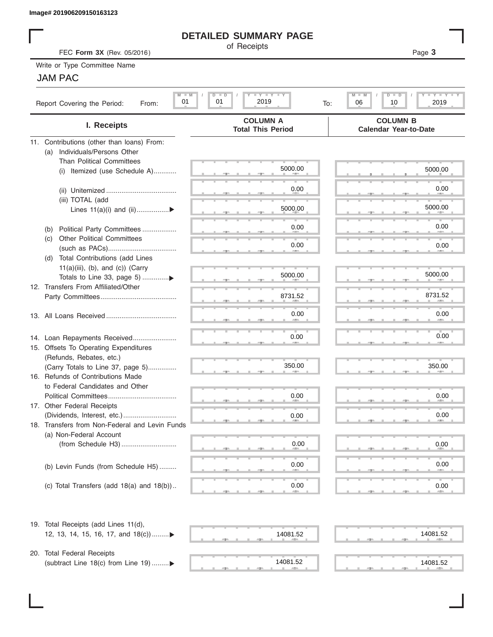# **DETAILED SUMMARY PAGE**

# JAM PAC

|                                                                               | <b>DETAILED SUMMARY PAGE</b>                    |                                                           |
|-------------------------------------------------------------------------------|-------------------------------------------------|-----------------------------------------------------------|
| FEC Form 3X (Rev. 05/2016)                                                    | of Receipts                                     | Page 3                                                    |
| Write or Type Committee Name                                                  |                                                 |                                                           |
| <b>JAM PAC</b>                                                                |                                                 |                                                           |
|                                                                               |                                                 |                                                           |
| $M$ $M$<br>01<br>Report Covering the Period:<br>From:                         | <b>LY LY LY</b><br>$D$ $D$<br>01<br>2019<br>To: | $M - M$<br><b>LY LY LY</b><br>$D$ $D$<br>06<br>2019<br>10 |
| I. Receipts                                                                   | <b>COLUMN A</b><br><b>Total This Period</b>     | <b>COLUMN B</b><br><b>Calendar Year-to-Date</b>           |
| 11. Contributions (other than loans) From:                                    |                                                 |                                                           |
| Individuals/Persons Other<br>(a)                                              |                                                 |                                                           |
| <b>Than Political Committees</b>                                              |                                                 |                                                           |
| (i) Itemized (use Schedule A)                                                 | 5000.00                                         | 5000.00                                                   |
|                                                                               |                                                 | 0.00                                                      |
|                                                                               | 0.00                                            |                                                           |
| (iii) TOTAL (add                                                              | 5000.00                                         | 5000.00                                                   |
| Lines 11(a)(i) and (ii)▶                                                      |                                                 |                                                           |
|                                                                               | 0.00                                            | 0.00                                                      |
| Political Party Committees<br>(b)<br><b>Other Political Committees</b><br>(C) |                                                 |                                                           |
|                                                                               | 0.00                                            | 0.00                                                      |
| Total Contributions (add Lines<br>(d)                                         |                                                 |                                                           |
| $11(a)(iii)$ , (b), and (c)) (Carry                                           |                                                 |                                                           |
|                                                                               | 5000.00                                         | 5000.00                                                   |
| 12. Transfers From Affiliated/Other                                           |                                                 |                                                           |
|                                                                               | 8731.52                                         | 8731.52                                                   |
|                                                                               |                                                 |                                                           |
|                                                                               | 0.00                                            | 0.00                                                      |
|                                                                               |                                                 |                                                           |
| 14. Loan Repayments Received                                                  | 0.00                                            | 0.00                                                      |
| 15. Offsets To Operating Expenditures                                         |                                                 |                                                           |
| (Refunds, Rebates, etc.)                                                      |                                                 |                                                           |
| (Carry Totals to Line 37, page 5)                                             | 350.00                                          | 350.00                                                    |
| 16. Refunds of Contributions Made                                             |                                                 |                                                           |
| to Federal Candidates and Other                                               |                                                 |                                                           |
| Political Committees                                                          | 0.00                                            | 0.00                                                      |
| 17. Other Federal Receipts                                                    |                                                 |                                                           |
|                                                                               | 0.00                                            | 0.00                                                      |
| 18. Transfers from Non-Federal and Levin Funds                                |                                                 |                                                           |
| (a) Non-Federal Account                                                       |                                                 |                                                           |
|                                                                               | 0.00                                            | 0.00                                                      |
|                                                                               |                                                 |                                                           |
| (b) Levin Funds (from Schedule H5)                                            | 0.00                                            | 0.00                                                      |
|                                                                               |                                                 |                                                           |
| (c) Total Transfers (add $18(a)$ and $18(b)$ )                                | 0.00                                            | 0.00                                                      |
| 19. Total Receipts (add Lines 11(d),                                          |                                                 |                                                           |
| 12, 13, 14, 15, 16, 17, and $18(c)$                                           | 14081.52                                        | 14081.52                                                  |
|                                                                               |                                                 |                                                           |
| 20. Total Federal Receipts                                                    |                                                 |                                                           |
| (subtract Line 18(c) from Line 19) ▶                                          | 14081.52<br><b>ARCHITECT</b>                    | 14081.52                                                  |
|                                                                               |                                                 |                                                           |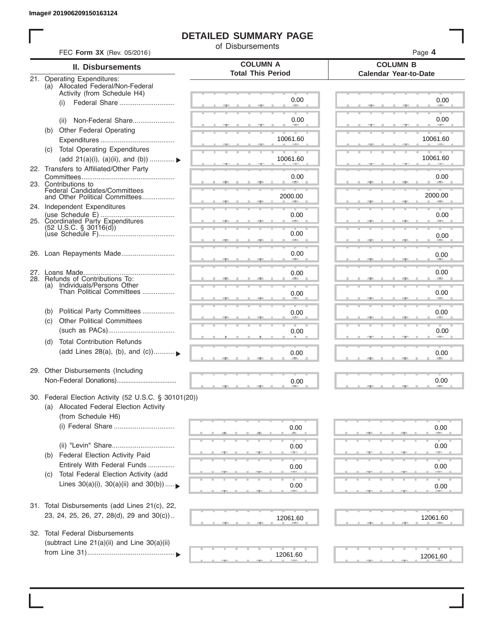# **DETAILED SUMMARY PAGE**

of Disbursements

| FEC Form 3X (Rev. 05/2016)                                                                      |                                             | Page 4                                          |
|-------------------------------------------------------------------------------------------------|---------------------------------------------|-------------------------------------------------|
| <b>II. Disbursements</b>                                                                        | <b>COLUMN A</b><br><b>Total This Period</b> | <b>COLUMN B</b><br><b>Calendar Year-to-Date</b> |
| 21. Operating Expenditures:<br>(a) Allocated Federal/Non-Federal<br>Activity (from Schedule H4) |                                             |                                                 |
| (i)                                                                                             | 0.00                                        | 0.00                                            |
| Non-Federal Share<br>(ii)                                                                       | 0.00                                        | 0.00                                            |
| (b) Other Federal Operating                                                                     | 10061.60                                    | 10061.60                                        |
| <b>Total Operating Expenditures</b><br>(C)<br>(add 21(a)(i), (a)(ii), and (b))  ▶               | 10061.60                                    | 10061.60                                        |
| 22. Transfers to Affiliated/Other Party                                                         | 0.00                                        | 0.00                                            |
| 23. Contributions to<br>Federal Candidates/Committees<br>and Other Political Committees         |                                             |                                                 |
| 24. Independent Expenditures                                                                    | 2000.00                                     | 2000.00                                         |
| 25. Coordinated Party Expenditures                                                              | 0.00                                        | 0.00                                            |
| $(52 \text{ U.S.C. }$ § 30116(d))                                                               | 0.00<br><b>Allen</b>                        | 0.00                                            |
| 26. Loan Repayments Made                                                                        | 0.00                                        | 0.00                                            |
| 28. Refunds of Contributions To:                                                                | 0.00                                        | 0.00                                            |
| (a) Individuals/Persons Other<br>Than Political Committees                                      | 0.00                                        | 0.00                                            |
| Political Party Committees<br>(b)<br><b>Other Political Committees</b>                          | 0.00                                        | 0.00                                            |
| (c)                                                                                             | 0.00                                        | 0.00                                            |
| <b>Total Contribution Refunds</b><br>(d)<br>(add Lines 28(a), (b), and (c))                     | 0.00                                        | 0.00                                            |
| 29. Other Disbursements (Including                                                              | 0.00                                        | 0.00                                            |
| 30. Federal Election Activity (52 U.S.C. § 30101(20))                                           |                                             |                                                 |
| (a) Allocated Federal Election Activity<br>(from Schedule H6)                                   |                                             |                                                 |
| (i) Federal Share                                                                               | 0.00                                        | 0.00                                            |
|                                                                                                 | 0.00                                        | 0.00                                            |
| Federal Election Activity Paid<br>(b)<br>Entirely With Federal Funds                            | 0.00                                        | 0.00                                            |
| Total Federal Election Activity (add<br>(C)<br>Lines $30(a)(i)$ , $30(a)(ii)$ and $30(b))$      | 0.00                                        | 0.00                                            |
|                                                                                                 |                                             |                                                 |
| 31. Total Disbursements (add Lines 21(c), 22,<br>23, 24, 25, 26, 27, 28(d), 29 and 30(c))       | 12061.60                                    | 12061.60                                        |
| 32. Total Federal Disbursements<br>(subtract Line 21(a)(ii) and Line 30(a)(ii)                  |                                             |                                                 |
|                                                                                                 | 12061.60                                    | 12061.60                                        |
|                                                                                                 |                                             |                                                 |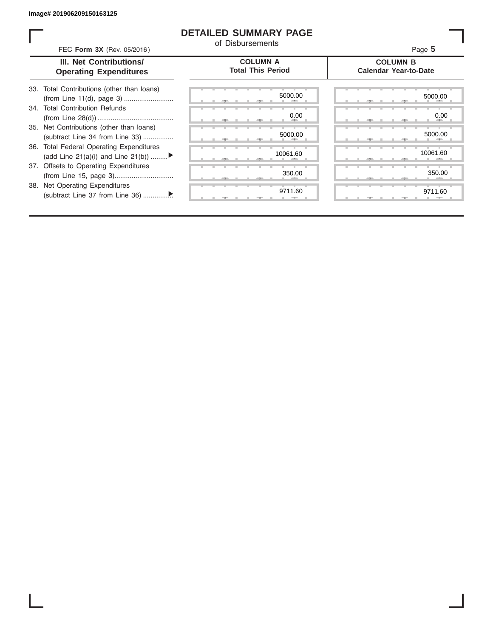## **DETAILED SUMMARY PAGE**

of Disbursements

FEC **Form 3X** (Rev. 05/2016) Page **5**

|  | <b>III.</b> Net Contributions/ |
|--|--------------------------------|
|  | <b>Operating Expenditures</b>  |

### **COLUMN A Total This Period**

### **COLUMN B Calendar Year-to-Date**

| 33. Total Contributions (other than loans) |  |
|--------------------------------------------|--|
| 34. Total Contribution Refunds             |  |
|                                            |  |
| 35. Net Contributions (other than loans)   |  |
| (subtract Line 34 from Line 33)            |  |
| 36. Total Federal Operating Expenditures   |  |
| (add Line 21(a)(i) and Line 21(b))         |  |
| 37. Offsets to Operating Expenditures      |  |
|                                            |  |
| 38. Net Operating Expenditures             |  |
|                                            |  |

|   |   | $-7-$ |   | $-7-$  | 5000.00<br>× |
|---|---|-------|---|--------|--------------|
| ٠ |   |       |   |        | ъ<br>0.00    |
|   | ٠ | - 7 - | ш | - 7 -  | ٠            |
|   |   |       |   |        | 5000.00      |
|   |   | ÷     | ш | ÷      |              |
|   |   |       |   |        | 10061.60     |
|   |   | 51    |   | э.     | 皿            |
|   |   |       |   |        | 350.00<br>×  |
|   |   | $-7-$ |   | ヮ<br>A | т            |
|   |   |       |   |        | 9711.60      |
|   |   |       |   |        |              |

|  |  |  | 5000.00                      |  |  |  |  | 5000.00             |  |
|--|--|--|------------------------------|--|--|--|--|---------------------|--|
|  |  |  |                              |  |  |  |  |                     |  |
|  |  |  | 0.00<br><b>All Contracts</b> |  |  |  |  | 0.00<br><b>AREA</b> |  |
|  |  |  |                              |  |  |  |  | 5000.00             |  |
|  |  |  | 5000.00<br>a.                |  |  |  |  |                     |  |
|  |  |  |                              |  |  |  |  |                     |  |
|  |  |  |                              |  |  |  |  |                     |  |
|  |  |  | 10061.60                     |  |  |  |  | 10061.60            |  |
|  |  |  |                              |  |  |  |  |                     |  |
|  |  |  | 350.00                       |  |  |  |  | 350.00              |  |
|  |  |  | 9711.60                      |  |  |  |  | 9711.60             |  |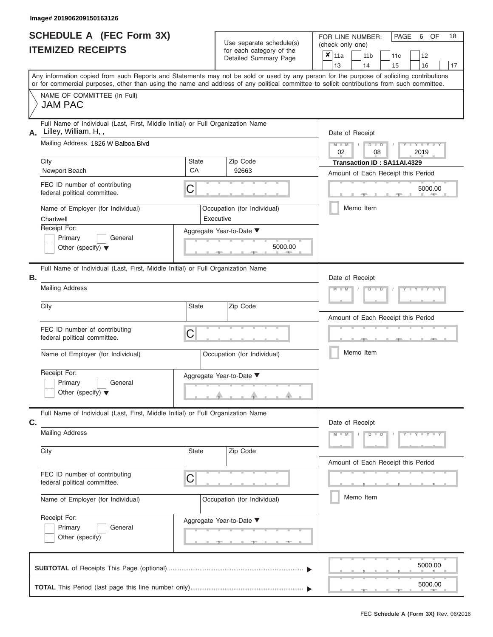| <b>SCHEDULE A (FEC Form 3X)</b> |  |  |
|---------------------------------|--|--|
| <b>ITEMIZED RECEIPTS</b>        |  |  |

Use separate schedule(s)<br>for each category of the

FOR LINE NUMBER:

PAGE 6 OF 18

| <b>ITEMIZED RECEIPTS</b>                                                                                                                   |                    | Use separate schedule(s)                          | (check only one)                                                                                                                          |  |  |  |  |  |  |
|--------------------------------------------------------------------------------------------------------------------------------------------|--------------------|---------------------------------------------------|-------------------------------------------------------------------------------------------------------------------------------------------|--|--|--|--|--|--|
|                                                                                                                                            |                    | for each category of the<br>Detailed Summary Page | $x _{11a}$<br>12<br>11 <sub>b</sub><br>11c<br>14<br>15<br>13<br>16                                                                        |  |  |  |  |  |  |
| or for commercial purposes, other than using the name and address of any political committee to solicit contributions from such committee. |                    |                                                   | Any information copied from such Reports and Statements may not be sold or used by any person for the purpose of soliciting contributions |  |  |  |  |  |  |
| NAME OF COMMITTEE (In Full)<br><b>JAM PAC</b>                                                                                              |                    |                                                   |                                                                                                                                           |  |  |  |  |  |  |
| Full Name of Individual (Last, First, Middle Initial) or Full Organization Name<br>Lilley, William, H,,<br>Α.                              |                    |                                                   | Date of Receipt                                                                                                                           |  |  |  |  |  |  |
| Mailing Address 1826 W Balboa Blvd                                                                                                         |                    |                                                   | $Y = Y = Y + Y$<br>$M - M$<br>$D$ $\Box$ $D$<br>02<br>2019<br>08                                                                          |  |  |  |  |  |  |
| City<br>Newport Beach                                                                                                                      | <b>State</b><br>CA | Zip Code<br>92663                                 | Transaction ID: SA11AI.4329<br>Amount of Each Receipt this Period                                                                         |  |  |  |  |  |  |
| FEC ID number of contributing<br>federal political committee.                                                                              | С                  |                                                   | 5000.00                                                                                                                                   |  |  |  |  |  |  |
| Name of Employer (for Individual)<br>Chartwell                                                                                             |                    | Occupation (for Individual)<br>Executive          | Memo Item                                                                                                                                 |  |  |  |  |  |  |
| Receipt For:<br>Primary<br>General<br>Other (specify) $\blacktriangledown$                                                                 |                    | Aggregate Year-to-Date ▼<br>5000.00               |                                                                                                                                           |  |  |  |  |  |  |
| Full Name of Individual (Last, First, Middle Initial) or Full Organization Name<br>Β.                                                      |                    |                                                   | Date of Receipt                                                                                                                           |  |  |  |  |  |  |
| <b>Mailing Address</b>                                                                                                                     |                    |                                                   | $M - 1$<br>Y FY FY FY<br>$D - I$<br>D                                                                                                     |  |  |  |  |  |  |
| City                                                                                                                                       | <b>State</b>       | Zip Code                                          | Amount of Each Receipt this Period                                                                                                        |  |  |  |  |  |  |
| FEC ID number of contributing<br>federal political committee.                                                                              | С                  |                                                   |                                                                                                                                           |  |  |  |  |  |  |
| Name of Employer (for Individual)                                                                                                          |                    | Occupation (for Individual)                       | Memo Item                                                                                                                                 |  |  |  |  |  |  |
| Receipt For:<br>Primary<br>General<br>Other (specify) $\blacktriangledown$                                                                 |                    | Aggregate Year-to-Date ▼                          |                                                                                                                                           |  |  |  |  |  |  |
| Full Name of Individual (Last, First, Middle Initial) or Full Organization Name<br>C.                                                      |                    |                                                   | Date of Receipt                                                                                                                           |  |  |  |  |  |  |
| <b>Mailing Address</b>                                                                                                                     |                    |                                                   | $Y - Y - Y - Y - Y$<br>$M - M$<br>$D$ $D$<br>$\sqrt{2}$                                                                                   |  |  |  |  |  |  |
| City                                                                                                                                       | State              | Zip Code                                          | Amount of Each Receipt this Period                                                                                                        |  |  |  |  |  |  |
| FEC ID number of contributing<br>federal political committee.                                                                              | C                  |                                                   |                                                                                                                                           |  |  |  |  |  |  |
| Name of Employer (for Individual)                                                                                                          |                    | Occupation (for Individual)                       | Memo Item                                                                                                                                 |  |  |  |  |  |  |
| Receipt For:<br>Primary<br>General<br>Other (specify)                                                                                      |                    | Aggregate Year-to-Date ▼<br><u>_______</u>        |                                                                                                                                           |  |  |  |  |  |  |
|                                                                                                                                            |                    |                                                   | 5000.00                                                                                                                                   |  |  |  |  |  |  |
|                                                                                                                                            |                    |                                                   | 5000.00                                                                                                                                   |  |  |  |  |  |  |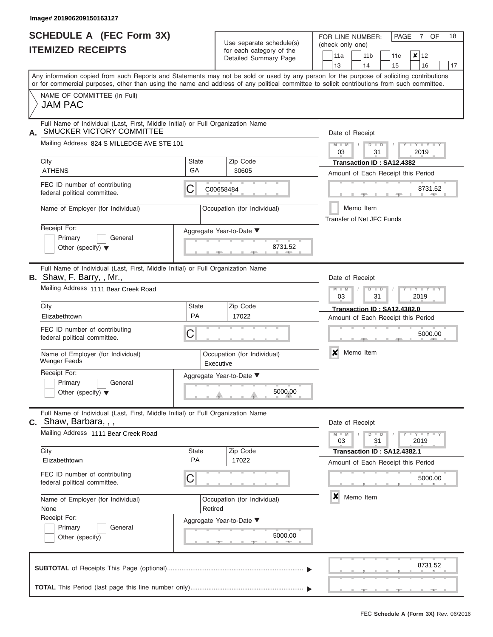|                          | SCHEDULE A (FEC Form 3X) |
|--------------------------|--------------------------|
| <b>ITEMIZED RECEIPTS</b> |                          |

Use separate schedule $(s)$  for each category of the

FOR LINE NUMBER: PAGE<br>
(check only one)

7 OF 18

|    | <u>II EMILED REVEIF I J</u>                                                                                                                                                                                                                                                             |                                          | for each category of the<br>Detailed Summary Page |                             | 11a                                                           |  | 11 <sub>b</sub> | 11c                                | $\boldsymbol{\mathsf{x}}$ | 12      |    |  |  |  |  |
|----|-----------------------------------------------------------------------------------------------------------------------------------------------------------------------------------------------------------------------------------------------------------------------------------------|------------------------------------------|---------------------------------------------------|-----------------------------|---------------------------------------------------------------|--|-----------------|------------------------------------|---------------------------|---------|----|--|--|--|--|
|    |                                                                                                                                                                                                                                                                                         |                                          |                                                   |                             | 13                                                            |  | 14              | 15                                 |                           | 16      | 17 |  |  |  |  |
|    | Any information copied from such Reports and Statements may not be sold or used by any person for the purpose of soliciting contributions<br>or for commercial purposes, other than using the name and address of any political committee to solicit contributions from such committee. |                                          |                                                   |                             |                                                               |  |                 |                                    |                           |         |    |  |  |  |  |
|    | NAME OF COMMITTEE (In Full)<br><b>JAM PAC</b>                                                                                                                                                                                                                                           |                                          |                                                   |                             |                                                               |  |                 |                                    |                           |         |    |  |  |  |  |
| А. | Full Name of Individual (Last, First, Middle Initial) or Full Organization Name<br>SMUCKER VICTORY COMMITTEE                                                                                                                                                                            | Date of Receipt                          |                                                   |                             |                                                               |  |                 |                                    |                           |         |    |  |  |  |  |
|    | Mailing Address 824 S MILLEDGE AVE STE 101                                                                                                                                                                                                                                              |                                          |                                                   |                             | $Y = Y = Y$<br>$M - M$<br>$D$ $\Box$ $D$<br>2019<br>03<br>31  |  |                 |                                    |                           |         |    |  |  |  |  |
|    | City<br><b>ATHENS</b>                                                                                                                                                                                                                                                                   | <b>State</b><br>GA                       | Zip Code                                          |                             |                                                               |  |                 | Transaction ID: SA12.4382          |                           |         |    |  |  |  |  |
|    | FEC ID number of contributing                                                                                                                                                                                                                                                           |                                          | 30605                                             |                             |                                                               |  |                 | Amount of Each Receipt this Period |                           |         |    |  |  |  |  |
|    | federal political committee.                                                                                                                                                                                                                                                            | C                                        | C00658484                                         |                             |                                                               |  |                 |                                    |                           | 8731.52 |    |  |  |  |  |
|    | Name of Employer (for Individual)                                                                                                                                                                                                                                                       |                                          | Occupation (for Individual)                       |                             | <b>Transfer of Net JFC Funds</b>                              |  | Memo Item       |                                    |                           |         |    |  |  |  |  |
|    | Receipt For:                                                                                                                                                                                                                                                                            |                                          | Aggregate Year-to-Date ▼                          |                             |                                                               |  |                 |                                    |                           |         |    |  |  |  |  |
|    | Primary<br>General<br>Other (specify) $\blacktriangledown$                                                                                                                                                                                                                              |                                          |                                                   | 8731.52                     |                                                               |  |                 |                                    |                           |         |    |  |  |  |  |
|    | Full Name of Individual (Last, First, Middle Initial) or Full Organization Name<br>B. Shaw, F. Barry, , Mr.,                                                                                                                                                                            |                                          |                                                   |                             | Date of Receipt                                               |  |                 |                                    |                           |         |    |  |  |  |  |
|    | Mailing Address 1111 Bear Creek Road                                                                                                                                                                                                                                                    |                                          |                                                   |                             | $M - M$<br>Y TYT<br>$D$ $\Box$ $D$<br>2019<br>03<br>31        |  |                 |                                    |                           |         |    |  |  |  |  |
|    | City                                                                                                                                                                                                                                                                                    | Zip Code                                 |                                                   | Transaction ID: SA12.4382.0 |                                                               |  |                 |                                    |                           |         |    |  |  |  |  |
|    | Elizabethtown                                                                                                                                                                                                                                                                           | PA                                       | 17022                                             |                             | Amount of Each Receipt this Period                            |  |                 |                                    |                           |         |    |  |  |  |  |
|    | FEC ID number of contributing<br>federal political committee.                                                                                                                                                                                                                           | C                                        | 5000.00                                           |                             |                                                               |  |                 |                                    |                           |         |    |  |  |  |  |
|    | Name of Employer (for Individual)<br><b>Wenger Feeds</b>                                                                                                                                                                                                                                | Occupation (for Individual)<br>Executive | ×<br>Memo Item                                    |                             |                                                               |  |                 |                                    |                           |         |    |  |  |  |  |
|    | Receipt For:<br>Primary<br>General<br>Other (specify) $\blacktriangledown$                                                                                                                                                                                                              |                                          | Aggregate Year-to-Date ▼                          | 5000.00                     |                                                               |  |                 |                                    |                           |         |    |  |  |  |  |
|    | Full Name of Individual (Last, First, Middle Initial) or Full Organization Name<br><b>C.</b> Shaw, Barbara, , ,                                                                                                                                                                         |                                          |                                                   |                             | Date of Receipt                                               |  |                 |                                    |                           |         |    |  |  |  |  |
|    | Mailing Address 1111 Bear Creek Road                                                                                                                                                                                                                                                    |                                          |                                                   |                             | $Y - Y - Y - Y - Y$<br>$M - M$<br>$D$ $D$<br>03<br>31<br>2019 |  |                 |                                    |                           |         |    |  |  |  |  |
|    | City<br>Elizabethtown                                                                                                                                                                                                                                                                   | <b>State</b><br>PA                       | Zip Code<br>17022                                 |                             | Transaction ID: SA12.4382.1                                   |  |                 |                                    |                           |         |    |  |  |  |  |
|    | FEC ID number of contributing<br>federal political committee.                                                                                                                                                                                                                           | C                                        |                                                   |                             | Amount of Each Receipt this Period<br>5000.00                 |  |                 |                                    |                           |         |    |  |  |  |  |
|    | Name of Employer (for Individual)<br>None                                                                                                                                                                                                                                               | Retired                                  | Occupation (for Individual)                       |                             | ×                                                             |  | Memo Item       |                                    |                           |         |    |  |  |  |  |
|    | Receipt For:<br>General<br>Primary<br>Other (specify)                                                                                                                                                                                                                                   |                                          | Aggregate Year-to-Date ▼                          | 5000.00                     |                                                               |  |                 |                                    |                           |         |    |  |  |  |  |
|    |                                                                                                                                                                                                                                                                                         |                                          |                                                   |                             |                                                               |  |                 |                                    |                           | 8731.52 |    |  |  |  |  |
|    |                                                                                                                                                                                                                                                                                         |                                          |                                                   |                             |                                                               |  |                 |                                    |                           |         |    |  |  |  |  |

J.

 ▲ ▲ ▲ , , .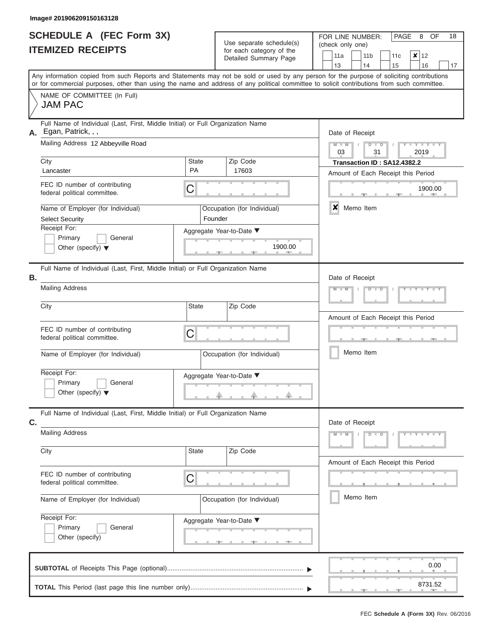|                          | <b>SCHEDULE A (FEC Form 3X)</b> |
|--------------------------|---------------------------------|
| <b>ITEMIZED RECEIPTS</b> |                                 |

| SCHEDULE A (FEC Form 3X)                                                                                                                                                                                                                                                                               |                                           | Use separate schedule(s)                                | FOR LINE NUMBER:<br>PAGE<br>OF<br>18<br>8<br>(check only one)                                                                                                                              |  |  |  |  |  |  |
|--------------------------------------------------------------------------------------------------------------------------------------------------------------------------------------------------------------------------------------------------------------------------------------------------------|-------------------------------------------|---------------------------------------------------------|--------------------------------------------------------------------------------------------------------------------------------------------------------------------------------------------|--|--|--|--|--|--|
| <b>ITEMIZED RECEIPTS</b>                                                                                                                                                                                                                                                                               |                                           | for each category of the<br>Detailed Summary Page       | 11a<br>$x \mid 12$<br>11 <sub>b</sub><br>11c<br>13<br>16<br>14<br>15<br>17                                                                                                                 |  |  |  |  |  |  |
| Any information copied from such Reports and Statements may not be sold or used by any person for the purpose of soliciting contributions<br>or for commercial purposes, other than using the name and address of any political committee to solicit contributions from such committee.                |                                           |                                                         |                                                                                                                                                                                            |  |  |  |  |  |  |
| NAME OF COMMITTEE (In Full)<br><b>JAM PAC</b>                                                                                                                                                                                                                                                          |                                           |                                                         |                                                                                                                                                                                            |  |  |  |  |  |  |
| Full Name of Individual (Last, First, Middle Initial) or Full Organization Name<br>Egan, Patrick, , ,<br>А.<br>Mailing Address 12 Abbeyville Road<br>City<br>Lancaster<br>FEC ID number of contributing<br>federal political committee.<br>Name of Employer (for Individual)<br><b>Select Security</b> | <b>State</b><br><b>PA</b><br>С<br>Founder | Zip Code<br>17603<br>Occupation (for Individual)        | Date of Receipt<br>$M - M$<br>$D$ $D$<br>$Y - Y - I$<br>03<br>31<br>2019<br>Transaction ID: SA12.4382.2<br>Amount of Each Receipt this Period<br>1900.00<br><b>AND I</b><br>×<br>Memo Item |  |  |  |  |  |  |
| Receipt For:<br>Primary<br>General<br>Other (specify) $\blacktriangledown$                                                                                                                                                                                                                             | Aggregate Year-to-Date ▼<br>1900.00       |                                                         |                                                                                                                                                                                            |  |  |  |  |  |  |
| Full Name of Individual (Last, First, Middle Initial) or Full Organization Name<br>Β.<br><b>Mailing Address</b><br>City                                                                                                                                                                                | <b>State</b>                              | Zip Code                                                | Date of Receipt<br>$M - M$<br>$D$ $D$                                                                                                                                                      |  |  |  |  |  |  |
| FEC ID number of contributing<br>federal political committee.<br>Name of Employer (for Individual)<br>Receipt For:<br>Primary<br>General                                                                                                                                                               | C                                         | Occupation (for Individual)<br>Aggregate Year-to-Date ▼ | Amount of Each Receipt this Period<br>Memo Item                                                                                                                                            |  |  |  |  |  |  |
| Other (specify) $\blacktriangledown$<br>Full Name of Individual (Last, First, Middle Initial) or Full Organization Name                                                                                                                                                                                |                                           | a.                                                      |                                                                                                                                                                                            |  |  |  |  |  |  |
| C.<br><b>Mailing Address</b><br>City                                                                                                                                                                                                                                                                   | <b>State</b>                              | Zip Code                                                | Date of Receipt<br>$Y - Y - Y - Y - Y$<br>$M - M$<br>$D$ $D$                                                                                                                               |  |  |  |  |  |  |
| FEC ID number of contributing<br>federal political committee.                                                                                                                                                                                                                                          | C                                         |                                                         | Amount of Each Receipt this Period<br>Memo Item                                                                                                                                            |  |  |  |  |  |  |
| Name of Employer (for Individual)<br>Receipt For:<br>Primary<br>General<br>Other (specify)                                                                                                                                                                                                             |                                           | Occupation (for Individual)<br>Aggregate Year-to-Date ▼ |                                                                                                                                                                                            |  |  |  |  |  |  |
|                                                                                                                                                                                                                                                                                                        |                                           |                                                         | 0.00<br>8731.52<br><b>COLL</b>                                                                                                                                                             |  |  |  |  |  |  |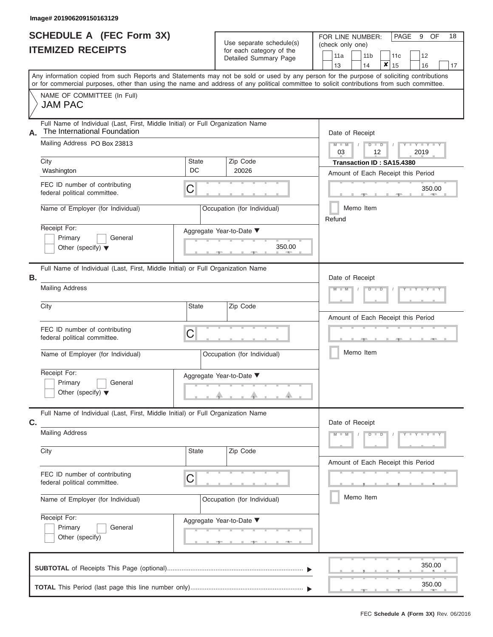|                          | <b>SCHEDULE A (FEC Form 3X)</b> |  |
|--------------------------|---------------------------------|--|
| <b>ITEMIZED RECEIPTS</b> |                                 |  |

| SCHEDULE A (FEC Form 3X)<br><b>ITEMIZED RECEIPTS</b> |                                                                                                                                                                                                                                                                                         |                                    | Use separate schedule(s)<br>for each category of the               | FOR LINE NUMBER:<br>(check only one) |                                    | PAGE<br>9             | OF             | 18 |
|------------------------------------------------------|-----------------------------------------------------------------------------------------------------------------------------------------------------------------------------------------------------------------------------------------------------------------------------------------|------------------------------------|--------------------------------------------------------------------|--------------------------------------|------------------------------------|-----------------------|----------------|----|
|                                                      |                                                                                                                                                                                                                                                                                         |                                    | Detailed Summary Page                                              | 11a<br>13                            | 11 <sub>b</sub><br>×<br>14         | 11c<br>12<br>15<br>16 |                | 17 |
|                                                      | Any information copied from such Reports and Statements may not be sold or used by any person for the purpose of soliciting contributions<br>or for commercial purposes, other than using the name and address of any political committee to solicit contributions from such committee. |                                    |                                                                    |                                      |                                    |                       |                |    |
|                                                      | NAME OF COMMITTEE (In Full)<br><b>JAM PAC</b>                                                                                                                                                                                                                                           |                                    |                                                                    |                                      |                                    |                       |                |    |
| А.                                                   | Full Name of Individual (Last, First, Middle Initial) or Full Organization Name<br>The International Foundation<br>Mailing Address PO Box 23813                                                                                                                                         |                                    |                                                                    | Date of Receipt<br>$M - M$           | $D$ $D$<br>$\sqrt{ }$              | $+$ $+$ $+$ $+$ $+$   |                |    |
|                                                      | City                                                                                                                                                                                                                                                                                    | <b>State</b><br>DC                 | Zip Code                                                           | 03                                   | 12<br>Transaction ID: SA15.4380    | 2019                  |                |    |
|                                                      | Washington<br>FEC ID number of contributing<br>С<br>federal political committee.                                                                                                                                                                                                        | 20026                              |                                                                    | Amount of Each Receipt this Period   |                                    | 350.00                |                |    |
|                                                      | Name of Employer (for Individual)                                                                                                                                                                                                                                                       | Occupation (for Individual)        | Refund                                                             | Memo Item                            |                                    | 11. AUG.              |                |    |
|                                                      | Receipt For:<br>Primary<br>General<br>Other (specify) $\blacktriangledown$                                                                                                                                                                                                              | Aggregate Year-to-Date ▼<br>350.00 |                                                                    |                                      |                                    |                       |                |    |
| В.                                                   | Full Name of Individual (Last, First, Middle Initial) or Full Organization Name<br><b>Mailing Address</b>                                                                                                                                                                               |                                    |                                                                    | Date of Receipt<br>$M - M$           | $D$ $D$                            |                       |                |    |
|                                                      | City                                                                                                                                                                                                                                                                                    | <b>State</b>                       | Zip Code                                                           |                                      | Amount of Each Receipt this Period |                       |                |    |
|                                                      | FEC ID number of contributing<br>federal political committee.                                                                                                                                                                                                                           | C                                  |                                                                    |                                      |                                    |                       | <b>AND</b>     |    |
|                                                      | Name of Employer (for Individual)                                                                                                                                                                                                                                                       |                                    | Occupation (for Individual)                                        |                                      | Memo Item                          |                       |                |    |
|                                                      | Receipt For:<br>Primary<br>General<br>Other (specify) $\blacktriangledown$                                                                                                                                                                                                              |                                    | Aggregate Year-to-Date ▼                                           |                                      |                                    |                       |                |    |
| C.                                                   | Full Name of Individual (Last, First, Middle Initial) or Full Organization Name                                                                                                                                                                                                         |                                    |                                                                    | Date of Receipt                      |                                    |                       |                |    |
|                                                      | <b>Mailing Address</b>                                                                                                                                                                                                                                                                  |                                    |                                                                    | $M - M$                              | $D$ $D$                            | Y F Y F Y F Y         |                |    |
|                                                      | City                                                                                                                                                                                                                                                                                    | <b>State</b>                       | Zip Code                                                           |                                      | Amount of Each Receipt this Period |                       |                |    |
|                                                      | FEC ID number of contributing<br>federal political committee.                                                                                                                                                                                                                           | С                                  |                                                                    |                                      |                                    |                       |                |    |
|                                                      | Name of Employer (for Individual)                                                                                                                                                                                                                                                       |                                    | Occupation (for Individual)                                        |                                      | Memo Item                          |                       |                |    |
|                                                      | Receipt For:<br>Primary<br>General<br>Other (specify)                                                                                                                                                                                                                                   |                                    | Aggregate Year-to-Date ▼<br><u>_______</u><br><b>All Contracts</b> |                                      |                                    |                       |                |    |
|                                                      |                                                                                                                                                                                                                                                                                         |                                    |                                                                    |                                      |                                    |                       | 350.00         |    |
|                                                      |                                                                                                                                                                                                                                                                                         |                                    |                                                                    |                                      |                                    |                       | 350.00<br>$-1$ |    |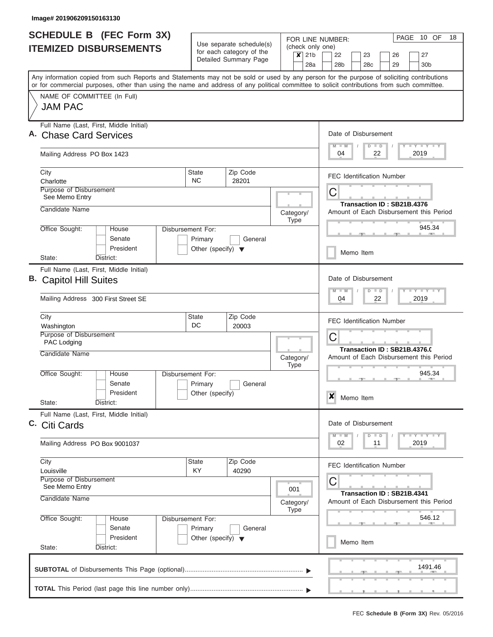|    | <b>SCHEDULE B (FEC Form 3X)</b>                                                                                                                                                                                                                                                         |                                                                      | Use separate schedule(s)                          |                                                                            | PAGE 10 OF<br>18<br>FOR LINE NUMBER:                                                                                  |
|----|-----------------------------------------------------------------------------------------------------------------------------------------------------------------------------------------------------------------------------------------------------------------------------------------|----------------------------------------------------------------------|---------------------------------------------------|----------------------------------------------------------------------------|-----------------------------------------------------------------------------------------------------------------------|
|    | <b>ITEMIZED DISBURSEMENTS</b>                                                                                                                                                                                                                                                           |                                                                      | for each category of the<br>Detailed Summary Page | $\boldsymbol{\mathsf{x}}$                                                  | (check only one)<br>21 <sub>b</sub><br>22<br>23<br>27<br>26<br>28 <sub>b</sub><br>30 <sub>b</sub><br>28a<br>28c<br>29 |
|    | Any information copied from such Reports and Statements may not be sold or used by any person for the purpose of soliciting contributions<br>or for commercial purposes, other than using the name and address of any political committee to solicit contributions from such committee. |                                                                      |                                                   |                                                                            |                                                                                                                       |
|    | NAME OF COMMITTEE (In Full)<br><b>JAM PAC</b>                                                                                                                                                                                                                                           |                                                                      |                                                   |                                                                            |                                                                                                                       |
|    | Full Name (Last, First, Middle Initial)<br><b>Chase Card Services</b>                                                                                                                                                                                                                   |                                                                      |                                                   |                                                                            | Date of Disbursement<br>Y LY LY LY<br>$M$ $M$<br>$D$ $D$                                                              |
|    | Mailing Address PO Box 1423                                                                                                                                                                                                                                                             |                                                                      |                                                   |                                                                            | 22<br>2019<br>04                                                                                                      |
|    | City<br>Charlotte                                                                                                                                                                                                                                                                       | <b>State</b><br><b>NC</b>                                            | Zip Code<br>28201                                 |                                                                            | <b>FEC Identification Number</b>                                                                                      |
|    | Purpose of Disbursement<br>See Memo Entry                                                                                                                                                                                                                                               |                                                                      |                                                   |                                                                            | С<br>Transaction ID: SB21B.4376                                                                                       |
|    | Candidate Name                                                                                                                                                                                                                                                                          |                                                                      |                                                   | Category/<br><b>Type</b>                                                   | Amount of Each Disbursement this Period                                                                               |
|    | Office Sought:<br>House<br>Senate<br>President                                                                                                                                                                                                                                          | Disbursement For:<br>Primary<br>Other (specify) $\blacktriangledown$ | General                                           |                                                                            | 945.34<br>Memo Item                                                                                                   |
|    | District:<br>State:                                                                                                                                                                                                                                                                     |                                                                      |                                                   |                                                                            |                                                                                                                       |
| В. | Full Name (Last, First, Middle Initial)<br><b>Capitol Hill Suites</b>                                                                                                                                                                                                                   |                                                                      |                                                   |                                                                            | Date of Disbursement<br>$-1 - Y - 1 - Y - 1 - Y$<br>$M - M$<br>$D$ $D$                                                |
|    | Mailing Address 300 First Street SE                                                                                                                                                                                                                                                     |                                                                      |                                                   |                                                                            | 22<br>2019<br>04                                                                                                      |
|    | City<br>Washington                                                                                                                                                                                                                                                                      | State<br>DC                                                          | Zip Code<br>20003                                 |                                                                            | <b>FEC Identification Number</b>                                                                                      |
|    | Purpose of Disbursement<br>PAC Lodging<br>Candidate Name                                                                                                                                                                                                                                |                                                                      |                                                   |                                                                            | С<br>Transaction ID: SB21B.4376.0                                                                                     |
|    | Office Sought:<br>House                                                                                                                                                                                                                                                                 | Disbursement For:                                                    |                                                   | Category/<br><b>Type</b>                                                   | Amount of Each Disbursement this Period<br>945.34                                                                     |
|    | Senate<br>President                                                                                                                                                                                                                                                                     | Primary<br>Other (specify)                                           | General                                           |                                                                            |                                                                                                                       |
|    | State:<br>District:                                                                                                                                                                                                                                                                     |                                                                      |                                                   |                                                                            | ×<br>Memo Item                                                                                                        |
|    | Full Name (Last, First, Middle Initial)<br>C. Citi Cards                                                                                                                                                                                                                                |                                                                      |                                                   |                                                                            | Date of Disbursement                                                                                                  |
|    | Mailing Address PO Box 9001037                                                                                                                                                                                                                                                          |                                                                      |                                                   |                                                                            | Y TY TY TY<br>$M$ $M$<br>$D$ $D$<br>2019<br>02<br>11                                                                  |
|    | City<br>Louisville                                                                                                                                                                                                                                                                      | State<br><b>KY</b>                                                   | Zip Code<br>40290                                 |                                                                            | <b>FEC Identification Number</b>                                                                                      |
|    | Purpose of Disbursement<br>See Memo Entry<br>Candidate Name                                                                                                                                                                                                                             |                                                                      | 001<br>Category/                                  | С<br>Transaction ID: SB21B.4341<br>Amount of Each Disbursement this Period |                                                                                                                       |
|    | Office Sought:<br>House                                                                                                                                                                                                                                                                 | Disbursement For:                                                    |                                                   | <b>Type</b>                                                                | 546.12                                                                                                                |
|    | Senate<br>President<br>State:<br>District:                                                                                                                                                                                                                                              | Primary<br>Other (specify) $\blacktriangledown$                      | General                                           |                                                                            | Memo Item                                                                                                             |
|    |                                                                                                                                                                                                                                                                                         |                                                                      |                                                   |                                                                            | 1491.46                                                                                                               |
|    |                                                                                                                                                                                                                                                                                         |                                                                      |                                                   |                                                                            |                                                                                                                       |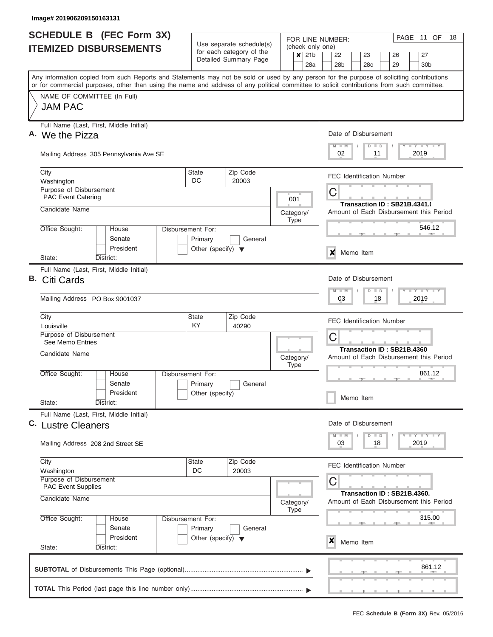|                               | <b>SCHEDULE B</b> (FEC Form 3X)                                                                                                                                                                                                                                                         |                                                                      |                       |  |                          |           | FOR LINE NUMBER:                             |  |                              |    | PAGE | 11 OF                       | 18 |
|-------------------------------|-----------------------------------------------------------------------------------------------------------------------------------------------------------------------------------------------------------------------------------------------------------------------------------------|----------------------------------------------------------------------|-----------------------|--|--------------------------|-----------|----------------------------------------------|--|------------------------------|----|------|-----------------------------|----|
| <b>ITEMIZED DISBURSEMENTS</b> |                                                                                                                                                                                                                                                                                         | Use separate schedule(s)<br>for each category of the                 |                       |  | $x$ 21b                  |           | (check only one)<br>22<br>23<br>27<br>26     |  |                              |    |      |                             |    |
|                               |                                                                                                                                                                                                                                                                                         |                                                                      | Detailed Summary Page |  |                          | 28a       | 28 <sub>b</sub>                              |  | 28 <sub>c</sub>              |    | 29   | 30 <sub>b</sub>             |    |
|                               | Any information copied from such Reports and Statements may not be sold or used by any person for the purpose of soliciting contributions<br>or for commercial purposes, other than using the name and address of any political committee to solicit contributions from such committee. |                                                                      |                       |  |                          |           |                                              |  |                              |    |      |                             |    |
|                               | NAME OF COMMITTEE (In Full)<br><b>JAM PAC</b>                                                                                                                                                                                                                                           |                                                                      |                       |  |                          |           |                                              |  |                              |    |      |                             |    |
|                               | Full Name (Last, First, Middle Initial)<br>A. We the Pizza                                                                                                                                                                                                                              |                                                                      |                       |  |                          |           | Date of Disbursement<br>$M$ $M$              |  | $D$ $D$                      |    |      | Y LY LY LY                  |    |
|                               | Mailing Address 305 Pennsylvania Ave SE                                                                                                                                                                                                                                                 |                                                                      |                       |  |                          |           | 02                                           |  |                              | 11 |      | 2019                        |    |
|                               | City<br>Washington                                                                                                                                                                                                                                                                      | <b>State</b><br>DC.                                                  | Zip Code<br>20003     |  |                          |           | <b>FEC Identification Number</b>             |  |                              |    |      |                             |    |
|                               | Purpose of Disbursement<br><b>PAC Event Catering</b>                                                                                                                                                                                                                                    |                                                                      |                       |  | 001                      |           | C                                            |  |                              |    |      |                             |    |
|                               | Candidate Name                                                                                                                                                                                                                                                                          |                                                                      |                       |  | Category/<br><b>Type</b> |           | Amount of Each Disbursement this Period      |  | Transaction ID: SB21B.4341.0 |    |      |                             |    |
|                               | Office Sought:<br>House<br>Senate<br>President                                                                                                                                                                                                                                          | Disbursement For:<br>Primary<br>Other (specify) $\blacktriangledown$ | General               |  |                          |           |                                              |  |                              |    |      | 546.12                      |    |
|                               | District:<br>State:                                                                                                                                                                                                                                                                     |                                                                      |                       |  |                          |           | X                                            |  | Memo Item                    |    |      |                             |    |
| В.                            | Full Name (Last, First, Middle Initial)<br>Citi Cards                                                                                                                                                                                                                                   |                                                                      |                       |  |                          |           | Date of Disbursement<br>$M - M$              |  | $D$ $D$                      |    |      | Y FY FY FY                  |    |
|                               | Mailing Address PO Box 9001037                                                                                                                                                                                                                                                          |                                                                      |                       |  |                          |           | 03                                           |  |                              | 18 |      | 2019                        |    |
|                               | City<br>Zip Code<br><b>State</b><br><b>KY</b><br>40290<br>Louisville                                                                                                                                                                                                                    |                                                                      |                       |  |                          |           | <b>FEC Identification Number</b>             |  |                              |    |      |                             |    |
|                               | Purpose of Disbursement<br>See Memo Entries                                                                                                                                                                                                                                             |                                                                      |                       |  |                          |           | С                                            |  |                              |    |      |                             |    |
|                               | Candidate Name                                                                                                                                                                                                                                                                          |                                                                      |                       |  | Category/<br><b>Type</b> |           | Amount of Each Disbursement this Period      |  | Transaction ID: SB21B.4360   |    |      |                             |    |
|                               | Office Sought:<br>House<br>Senate                                                                                                                                                                                                                                                       | Disbursement For:<br>Primary                                         | General               |  |                          |           |                                              |  |                              |    |      | 861.12                      |    |
|                               | President<br>State:<br>District:                                                                                                                                                                                                                                                        | Other (specify)                                                      |                       |  |                          |           |                                              |  | Memo Item                    |    |      |                             |    |
|                               | Full Name (Last, First, Middle Initial)<br>C. Lustre Cleaners                                                                                                                                                                                                                           |                                                                      |                       |  |                          |           | Date of Disbursement                         |  |                              |    |      |                             |    |
|                               | Mailing Address 208 2nd Street SE                                                                                                                                                                                                                                                       |                                                                      |                       |  |                          |           | $M$ $M$<br>03                                |  | $D$ $D$                      | 18 |      | $Y$ $Y$ $Y$ $Y$ $Y$<br>2019 |    |
|                               | City<br>Washington                                                                                                                                                                                                                                                                      | State<br>DC                                                          | Zip Code<br>20003     |  |                          |           | <b>FEC Identification Number</b>             |  |                              |    |      |                             |    |
|                               | Purpose of Disbursement<br><b>PAC Event Supplies</b><br>Candidate Name                                                                                                                                                                                                                  |                                                                      |                       |  |                          | Category/ | С<br>Amount of Each Disbursement this Period |  | Transaction ID: SB21B.4360.  |    |      |                             |    |
|                               | Office Sought:<br>Disbursement For:<br>House<br>Senate<br>Primary<br>General                                                                                                                                                                                                            |                                                                      |                       |  |                          |           |                                              |  |                              |    |      | 315.00                      |    |
|                               | President<br>State:<br>District:                                                                                                                                                                                                                                                        | Other (specify) $\blacktriangledown$                                 |                       |  |                          |           | X                                            |  | Memo Item                    |    |      |                             |    |
|                               |                                                                                                                                                                                                                                                                                         |                                                                      |                       |  |                          |           |                                              |  |                              |    |      | 861.12                      |    |
|                               |                                                                                                                                                                                                                                                                                         |                                                                      |                       |  |                          |           |                                              |  |                              |    |      |                             |    |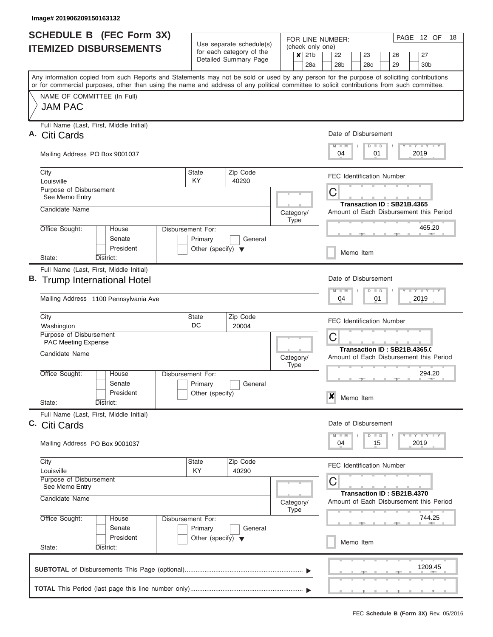| Use separate schedule(s)<br>(check only one)<br><b>ITEMIZED DISBURSEMENTS</b><br>for each category of the<br>21 <sub>b</sub><br>22<br>$\boldsymbol{x}$<br>23<br>26<br>Detailed Summary Page<br>28a<br>28 <sub>b</sub><br>28 <sub>c</sub><br>29<br>Any information copied from such Reports and Statements may not be sold or used by any person for the purpose of soliciting contributions<br>or for commercial purposes, other than using the name and address of any political committee to solicit contributions from such committee.<br>NAME OF COMMITTEE (In Full)<br><b>JAM PAC</b><br>Full Name (Last, First, Middle Initial)<br>Date of Disbursement<br>$M - M$<br>$\Box$<br>D<br>Mailing Address PO Box 9001037<br>04<br>01<br>Zip Code<br>City<br><b>State</b><br><b>FEC Identification Number</b><br>KY.<br>Louisville<br>40290<br>Purpose of Disbursement<br>C<br>See Memo Entry<br>Transaction ID: SB21B.4365<br>Candidate Name<br>Amount of Each Disbursement this Period<br>Category/<br><b>Type</b><br>Office Sought:<br>Disbursement For:<br>House<br>Senate<br>Primary<br>General<br>President<br>Other (specify) $\blacktriangledown$<br>Memo Item<br>State:<br>District:<br>Full Name (Last, First, Middle Initial)<br>Date of Disbursement<br>$M - M$<br>$D$ $D$<br>Mailing Address 1100 Pennsylvania Ave<br>04<br>01<br>State<br>Zip Code<br>City<br><b>FEC Identification Number</b><br>DC<br>20004<br>Washington<br>Purpose of Disbursement<br>C<br><b>PAC Meeting Expense</b><br>Transaction ID: SB21B.4365.0<br>Candidate Name | PAGE 12 OF<br>18                                                                      |
|-----------------------------------------------------------------------------------------------------------------------------------------------------------------------------------------------------------------------------------------------------------------------------------------------------------------------------------------------------------------------------------------------------------------------------------------------------------------------------------------------------------------------------------------------------------------------------------------------------------------------------------------------------------------------------------------------------------------------------------------------------------------------------------------------------------------------------------------------------------------------------------------------------------------------------------------------------------------------------------------------------------------------------------------------------------------------------------------------------------------------------------------------------------------------------------------------------------------------------------------------------------------------------------------------------------------------------------------------------------------------------------------------------------------------------------------------------------------------------------------------------------------------------------------------------------|---------------------------------------------------------------------------------------|
|                                                                                                                                                                                                                                                                                                                                                                                                                                                                                                                                                                                                                                                                                                                                                                                                                                                                                                                                                                                                                                                                                                                                                                                                                                                                                                                                                                                                                                                                                                                                                           | 27<br>30 <sub>b</sub>                                                                 |
| A. Citi Cards                                                                                                                                                                                                                                                                                                                                                                                                                                                                                                                                                                                                                                                                                                                                                                                                                                                                                                                                                                                                                                                                                                                                                                                                                                                                                                                                                                                                                                                                                                                                             |                                                                                       |
|                                                                                                                                                                                                                                                                                                                                                                                                                                                                                                                                                                                                                                                                                                                                                                                                                                                                                                                                                                                                                                                                                                                                                                                                                                                                                                                                                                                                                                                                                                                                                           |                                                                                       |
|                                                                                                                                                                                                                                                                                                                                                                                                                                                                                                                                                                                                                                                                                                                                                                                                                                                                                                                                                                                                                                                                                                                                                                                                                                                                                                                                                                                                                                                                                                                                                           | $T - Y = T - Y = T - Y$                                                               |
|                                                                                                                                                                                                                                                                                                                                                                                                                                                                                                                                                                                                                                                                                                                                                                                                                                                                                                                                                                                                                                                                                                                                                                                                                                                                                                                                                                                                                                                                                                                                                           | 2019                                                                                  |
|                                                                                                                                                                                                                                                                                                                                                                                                                                                                                                                                                                                                                                                                                                                                                                                                                                                                                                                                                                                                                                                                                                                                                                                                                                                                                                                                                                                                                                                                                                                                                           |                                                                                       |
|                                                                                                                                                                                                                                                                                                                                                                                                                                                                                                                                                                                                                                                                                                                                                                                                                                                                                                                                                                                                                                                                                                                                                                                                                                                                                                                                                                                                                                                                                                                                                           |                                                                                       |
|                                                                                                                                                                                                                                                                                                                                                                                                                                                                                                                                                                                                                                                                                                                                                                                                                                                                                                                                                                                                                                                                                                                                                                                                                                                                                                                                                                                                                                                                                                                                                           |                                                                                       |
|                                                                                                                                                                                                                                                                                                                                                                                                                                                                                                                                                                                                                                                                                                                                                                                                                                                                                                                                                                                                                                                                                                                                                                                                                                                                                                                                                                                                                                                                                                                                                           | 465.20                                                                                |
| B. Trump International Hotel                                                                                                                                                                                                                                                                                                                                                                                                                                                                                                                                                                                                                                                                                                                                                                                                                                                                                                                                                                                                                                                                                                                                                                                                                                                                                                                                                                                                                                                                                                                              |                                                                                       |
|                                                                                                                                                                                                                                                                                                                                                                                                                                                                                                                                                                                                                                                                                                                                                                                                                                                                                                                                                                                                                                                                                                                                                                                                                                                                                                                                                                                                                                                                                                                                                           | $\mathbf{I}$ $\mathbf{Y}$ $\mathbf{I}$ $\mathbf{Y}$ $\mathbf{I}$ $\mathbf{Y}$<br>2019 |
|                                                                                                                                                                                                                                                                                                                                                                                                                                                                                                                                                                                                                                                                                                                                                                                                                                                                                                                                                                                                                                                                                                                                                                                                                                                                                                                                                                                                                                                                                                                                                           |                                                                                       |
|                                                                                                                                                                                                                                                                                                                                                                                                                                                                                                                                                                                                                                                                                                                                                                                                                                                                                                                                                                                                                                                                                                                                                                                                                                                                                                                                                                                                                                                                                                                                                           |                                                                                       |
| Category/<br>Amount of Each Disbursement this Period<br><b>Type</b>                                                                                                                                                                                                                                                                                                                                                                                                                                                                                                                                                                                                                                                                                                                                                                                                                                                                                                                                                                                                                                                                                                                                                                                                                                                                                                                                                                                                                                                                                       |                                                                                       |
| Office Sought:<br><b>Disbursement For:</b><br>House<br>Senate<br>Primary<br>General<br>President<br>Other (specify)                                                                                                                                                                                                                                                                                                                                                                                                                                                                                                                                                                                                                                                                                                                                                                                                                                                                                                                                                                                                                                                                                                                                                                                                                                                                                                                                                                                                                                       | 294.20                                                                                |
| X<br>Memo Item<br>State:<br>District:                                                                                                                                                                                                                                                                                                                                                                                                                                                                                                                                                                                                                                                                                                                                                                                                                                                                                                                                                                                                                                                                                                                                                                                                                                                                                                                                                                                                                                                                                                                     |                                                                                       |
| Full Name (Last, First, Middle Initial)<br>Date of Disbursement<br>C. Citi Cards<br>$M$ $M$<br>$\Box$<br>$\overline{D}$                                                                                                                                                                                                                                                                                                                                                                                                                                                                                                                                                                                                                                                                                                                                                                                                                                                                                                                                                                                                                                                                                                                                                                                                                                                                                                                                                                                                                                   | $\mathbf{I}$ $\mathbf{Y}$ $\mathbf{I}$ $\mathbf{Y}$ $\mathbf{I}$ $\mathbf{Y}$         |
| 04<br>15<br>Mailing Address PO Box 9001037                                                                                                                                                                                                                                                                                                                                                                                                                                                                                                                                                                                                                                                                                                                                                                                                                                                                                                                                                                                                                                                                                                                                                                                                                                                                                                                                                                                                                                                                                                                | 2019                                                                                  |
| City<br><b>State</b><br>Zip Code<br><b>FEC Identification Number</b><br>KY<br>40290<br>Louisville                                                                                                                                                                                                                                                                                                                                                                                                                                                                                                                                                                                                                                                                                                                                                                                                                                                                                                                                                                                                                                                                                                                                                                                                                                                                                                                                                                                                                                                         |                                                                                       |
| <b>Purpose of Disbursement</b><br>С<br>See Memo Entry<br>Transaction ID: SB21B.4370<br>Candidate Name                                                                                                                                                                                                                                                                                                                                                                                                                                                                                                                                                                                                                                                                                                                                                                                                                                                                                                                                                                                                                                                                                                                                                                                                                                                                                                                                                                                                                                                     |                                                                                       |
| Amount of Each Disbursement this Period<br>Category/<br><b>Type</b>                                                                                                                                                                                                                                                                                                                                                                                                                                                                                                                                                                                                                                                                                                                                                                                                                                                                                                                                                                                                                                                                                                                                                                                                                                                                                                                                                                                                                                                                                       |                                                                                       |
| Office Sought:<br>Disbursement For:<br>House<br>Senate<br>Primary<br>General<br>President<br>Other (specify) $\blacktriangledown$                                                                                                                                                                                                                                                                                                                                                                                                                                                                                                                                                                                                                                                                                                                                                                                                                                                                                                                                                                                                                                                                                                                                                                                                                                                                                                                                                                                                                         | 744.25                                                                                |
| Memo Item<br>State:<br>District:                                                                                                                                                                                                                                                                                                                                                                                                                                                                                                                                                                                                                                                                                                                                                                                                                                                                                                                                                                                                                                                                                                                                                                                                                                                                                                                                                                                                                                                                                                                          |                                                                                       |
|                                                                                                                                                                                                                                                                                                                                                                                                                                                                                                                                                                                                                                                                                                                                                                                                                                                                                                                                                                                                                                                                                                                                                                                                                                                                                                                                                                                                                                                                                                                                                           | 1209.45                                                                               |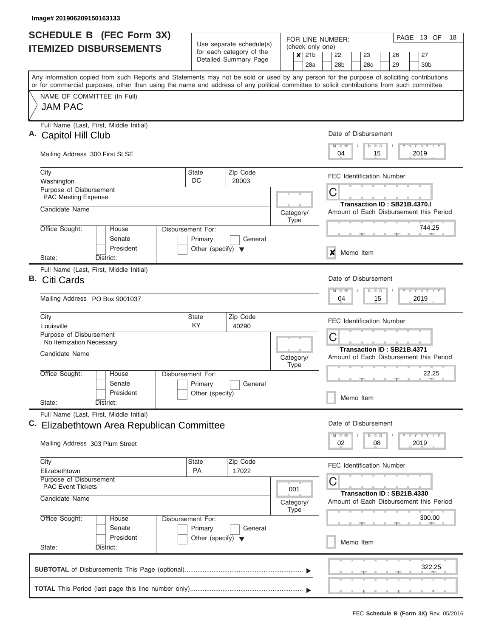| Use separate schedule(s)<br>for each category of the<br>Detailed Summary Page<br>Zip Code<br>20003<br>Disbursement For:<br>Primary<br>General<br>Other (specify) $\blacktriangledown$ | (check only one)<br>$\boldsymbol{x}$<br>21 <sub>b</sub><br>28a<br>Category/<br><b>Type</b> | 22<br>23<br>26<br>27<br>28 <sub>b</sub><br>28 <sub>c</sub><br>29<br>30 <sub>b</sub><br>Any information copied from such Reports and Statements may not be sold or used by any person for the purpose of soliciting contributions<br>or for commercial purposes, other than using the name and address of any political committee to solicit contributions from such committee.<br>Date of Disbursement<br>Y LY LY LY<br>$M$ $M$<br>$D$ $D$<br>04<br>15<br>2019<br><b>FEC Identification Number</b><br>C<br>Transaction ID: SB21B.4370.(<br>Amount of Each Disbursement this Period<br>744.25 |
|---------------------------------------------------------------------------------------------------------------------------------------------------------------------------------------|--------------------------------------------------------------------------------------------|----------------------------------------------------------------------------------------------------------------------------------------------------------------------------------------------------------------------------------------------------------------------------------------------------------------------------------------------------------------------------------------------------------------------------------------------------------------------------------------------------------------------------------------------------------------------------------------------|
|                                                                                                                                                                                       |                                                                                            |                                                                                                                                                                                                                                                                                                                                                                                                                                                                                                                                                                                              |
|                                                                                                                                                                                       |                                                                                            |                                                                                                                                                                                                                                                                                                                                                                                                                                                                                                                                                                                              |
|                                                                                                                                                                                       |                                                                                            |                                                                                                                                                                                                                                                                                                                                                                                                                                                                                                                                                                                              |
|                                                                                                                                                                                       |                                                                                            |                                                                                                                                                                                                                                                                                                                                                                                                                                                                                                                                                                                              |
|                                                                                                                                                                                       |                                                                                            |                                                                                                                                                                                                                                                                                                                                                                                                                                                                                                                                                                                              |
|                                                                                                                                                                                       |                                                                                            |                                                                                                                                                                                                                                                                                                                                                                                                                                                                                                                                                                                              |
|                                                                                                                                                                                       |                                                                                            |                                                                                                                                                                                                                                                                                                                                                                                                                                                                                                                                                                                              |
|                                                                                                                                                                                       |                                                                                            |                                                                                                                                                                                                                                                                                                                                                                                                                                                                                                                                                                                              |
|                                                                                                                                                                                       |                                                                                            | Memo Item                                                                                                                                                                                                                                                                                                                                                                                                                                                                                                                                                                                    |
|                                                                                                                                                                                       |                                                                                            | $\boldsymbol{\mathsf{x}}$                                                                                                                                                                                                                                                                                                                                                                                                                                                                                                                                                                    |
|                                                                                                                                                                                       |                                                                                            | Date of Disbursement<br>Y FY FY FY<br>$M - M$<br>$D$ $D$<br>04<br>15<br>2019                                                                                                                                                                                                                                                                                                                                                                                                                                                                                                                 |
| Zip Code                                                                                                                                                                              |                                                                                            |                                                                                                                                                                                                                                                                                                                                                                                                                                                                                                                                                                                              |
| 40290                                                                                                                                                                                 |                                                                                            | <b>FEC Identification Number</b><br>C                                                                                                                                                                                                                                                                                                                                                                                                                                                                                                                                                        |
|                                                                                                                                                                                       | Category/                                                                                  | Transaction ID: SB21B.4371<br>Amount of Each Disbursement this Period                                                                                                                                                                                                                                                                                                                                                                                                                                                                                                                        |
| Disbursement For:<br>General<br>Primary<br>Other (specify)                                                                                                                            |                                                                                            | 22.25<br>Memo Item                                                                                                                                                                                                                                                                                                                                                                                                                                                                                                                                                                           |
|                                                                                                                                                                                       |                                                                                            |                                                                                                                                                                                                                                                                                                                                                                                                                                                                                                                                                                                              |
| Elizabethtown Area Republican Committee                                                                                                                                               |                                                                                            | Date of Disbursement<br>$Y$ $Y$ $Y$ $Y$ $Y$<br>$M$ $M$<br>$D$ $D$                                                                                                                                                                                                                                                                                                                                                                                                                                                                                                                            |
|                                                                                                                                                                                       |                                                                                            | 02<br>2019<br>08                                                                                                                                                                                                                                                                                                                                                                                                                                                                                                                                                                             |
| Zip Code<br>17022                                                                                                                                                                     |                                                                                            | <b>FEC Identification Number</b>                                                                                                                                                                                                                                                                                                                                                                                                                                                                                                                                                             |
|                                                                                                                                                                                       | 001<br>Category/                                                                           | C<br>Transaction ID: SB21B.4330<br>Amount of Each Disbursement this Period                                                                                                                                                                                                                                                                                                                                                                                                                                                                                                                   |
| Disbursement For:                                                                                                                                                                     | <b>Type</b>                                                                                | 300.00                                                                                                                                                                                                                                                                                                                                                                                                                                                                                                                                                                                       |
| Other (specify) $\blacktriangledown$                                                                                                                                                  |                                                                                            | Memo Item                                                                                                                                                                                                                                                                                                                                                                                                                                                                                                                                                                                    |
|                                                                                                                                                                                       |                                                                                            | 322.25                                                                                                                                                                                                                                                                                                                                                                                                                                                                                                                                                                                       |
|                                                                                                                                                                                       | Primary<br>General                                                                         | <b>Type</b>                                                                                                                                                                                                                                                                                                                                                                                                                                                                                                                                                                                  |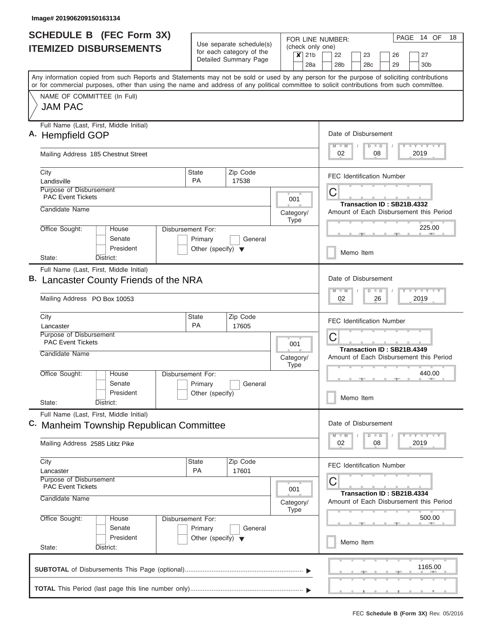|                               | <b>SCHEDULE B (FEC Form 3X)</b>                                                                                                                                                                                                                                                         |                                                                      |                                                                                   | FOR LINE NUMBER:                                | PAGE 14 OF<br>18                                                      |
|-------------------------------|-----------------------------------------------------------------------------------------------------------------------------------------------------------------------------------------------------------------------------------------------------------------------------------------|----------------------------------------------------------------------|-----------------------------------------------------------------------------------|-------------------------------------------------|-----------------------------------------------------------------------|
| <b>ITEMIZED DISBURSEMENTS</b> |                                                                                                                                                                                                                                                                                         |                                                                      | Use separate schedule(s)<br>for each category of the                              | (check only one)<br>21 <sub>b</sub><br>$\times$ | 22<br>23<br>26<br>27                                                  |
|                               |                                                                                                                                                                                                                                                                                         |                                                                      | Detailed Summary Page                                                             | 28a                                             | 28 <sub>b</sub><br>28c<br>30 <sub>b</sub><br>29                       |
|                               | Any information copied from such Reports and Statements may not be sold or used by any person for the purpose of soliciting contributions<br>or for commercial purposes, other than using the name and address of any political committee to solicit contributions from such committee. |                                                                      |                                                                                   |                                                 |                                                                       |
|                               | NAME OF COMMITTEE (In Full)<br><b>JAM PAC</b>                                                                                                                                                                                                                                           |                                                                      |                                                                                   |                                                 |                                                                       |
|                               | Full Name (Last, First, Middle Initial)<br>A. Hempfield GOP                                                                                                                                                                                                                             |                                                                      |                                                                                   |                                                 | Date of Disbursement                                                  |
|                               | Mailing Address 185 Chestnut Street                                                                                                                                                                                                                                                     |                                                                      |                                                                                   |                                                 | Y LY LY LY<br>$M$ $M$<br>$D$ $D$<br>2019<br>02<br>08                  |
|                               | City<br>Landisville                                                                                                                                                                                                                                                                     | State<br><b>PA</b>                                                   | Zip Code<br>17538                                                                 |                                                 | <b>FEC Identification Number</b>                                      |
|                               | Purpose of Disbursement<br><b>PAC Event Tickets</b>                                                                                                                                                                                                                                     |                                                                      |                                                                                   | 001                                             | С                                                                     |
|                               | Candidate Name                                                                                                                                                                                                                                                                          |                                                                      |                                                                                   | Category/<br><b>Type</b>                        | Transaction ID: SB21B.4332<br>Amount of Each Disbursement this Period |
|                               | Office Sought:<br>House<br>Senate<br>President                                                                                                                                                                                                                                          | Disbursement For:<br>Primary<br>Other (specify) $\blacktriangledown$ | General                                                                           |                                                 | 225.00                                                                |
|                               | State:<br>District:                                                                                                                                                                                                                                                                     |                                                                      |                                                                                   |                                                 | Memo Item                                                             |
|                               | Full Name (Last, First, Middle Initial)<br>Lancaster County Friends of the NRA                                                                                                                                                                                                          |                                                                      | Date of Disbursement<br>Y FY FY FY<br>$M - M$<br>$D$ $D$                          |                                                 |                                                                       |
|                               | Mailing Address PO Box 10053                                                                                                                                                                                                                                                            |                                                                      | 02<br>26<br>2019                                                                  |                                                 |                                                                       |
|                               | State<br>City<br>Lancaster                                                                                                                                                                                                                                                              |                                                                      | <b>FEC Identification Number</b>                                                  |                                                 |                                                                       |
|                               | Purpose of Disbursement<br><b>PAC Event Tickets</b>                                                                                                                                                                                                                                     |                                                                      | 001                                                                               | C<br>Transaction ID: SB21B.4349                 |                                                                       |
|                               | Candidate Name                                                                                                                                                                                                                                                                          |                                                                      |                                                                                   | Category/<br><b>Type</b>                        | Amount of Each Disbursement this Period                               |
|                               | Office Sought:<br>House<br>Senate                                                                                                                                                                                                                                                       | Disbursement For:<br>Primary                                         | General                                                                           |                                                 | 440.00<br><b>ARCHITECT</b>                                            |
|                               | President<br>State:<br>District:                                                                                                                                                                                                                                                        | Other (specify)                                                      |                                                                                   |                                                 | Memo Item                                                             |
|                               | Full Name (Last, First, Middle Initial)<br>C. Manheim Township Republican Committee                                                                                                                                                                                                     |                                                                      |                                                                                   |                                                 | Date of Disbursement                                                  |
|                               | Mailing Address 2585 Lititz Pike                                                                                                                                                                                                                                                        |                                                                      |                                                                                   |                                                 | $Y$ $Y$ $Y$ $Y$ $Y$<br>$D$ $D$<br>$M - M$<br>02<br>2019<br>08         |
|                               | City<br>Lancaster                                                                                                                                                                                                                                                                       | State<br><b>PA</b>                                                   | Zip Code<br>17601                                                                 |                                                 | <b>FEC Identification Number</b>                                      |
|                               | Purpose of Disbursement<br><b>PAC Event Tickets</b><br>Candidate Name                                                                                                                                                                                                                   | 001<br>Category/<br><b>Type</b>                                      | С<br><b>Transaction ID: SB21B.4334</b><br>Amount of Each Disbursement this Period |                                                 |                                                                       |
|                               | Office Sought:<br>House<br>Senate                                                                                                                                                                                                                                                       | Disbursement For:<br>Primary                                         | General                                                                           |                                                 | 500.00                                                                |
|                               | President<br>State:<br>District:                                                                                                                                                                                                                                                        | Other (specify) $\blacktriangledown$                                 |                                                                                   |                                                 | Memo Item                                                             |
|                               |                                                                                                                                                                                                                                                                                         |                                                                      |                                                                                   |                                                 | 1165.00                                                               |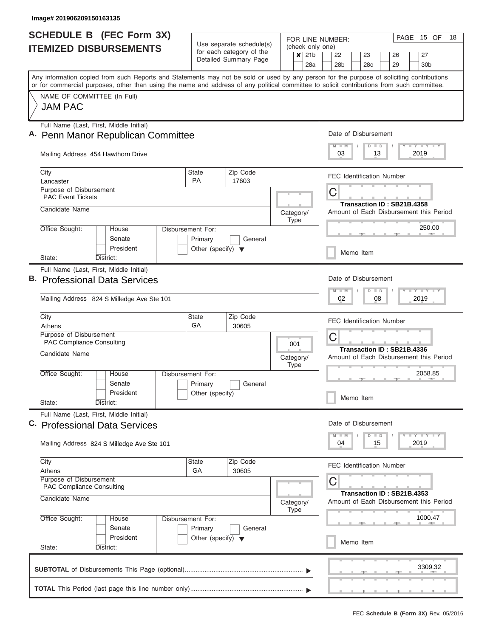|                               | <b>SCHEDULE B (FEC Form 3X)</b>                                                                                                                                                                                                                                                         |                                                      |                       |                                                                       |             | PAGE 15 OF<br>18<br>FOR LINE NUMBER:                                           |
|-------------------------------|-----------------------------------------------------------------------------------------------------------------------------------------------------------------------------------------------------------------------------------------------------------------------------------------|------------------------------------------------------|-----------------------|-----------------------------------------------------------------------|-------------|--------------------------------------------------------------------------------|
| <b>ITEMIZED DISBURSEMENTS</b> |                                                                                                                                                                                                                                                                                         | Use separate schedule(s)<br>for each category of the |                       |                                                                       |             | (check only one)                                                               |
|                               |                                                                                                                                                                                                                                                                                         |                                                      | Detailed Summary Page |                                                                       | $x$ 21b     | 22<br>27<br>23<br>26<br>28a<br>28 <sub>b</sub><br>28c<br>29<br>30 <sub>b</sub> |
|                               | Any information copied from such Reports and Statements may not be sold or used by any person for the purpose of soliciting contributions<br>or for commercial purposes, other than using the name and address of any political committee to solicit contributions from such committee. |                                                      |                       |                                                                       |             |                                                                                |
|                               | NAME OF COMMITTEE (In Full)                                                                                                                                                                                                                                                             |                                                      |                       |                                                                       |             |                                                                                |
|                               | <b>JAM PAC</b>                                                                                                                                                                                                                                                                          |                                                      |                       |                                                                       |             |                                                                                |
|                               | Full Name (Last, First, Middle Initial)                                                                                                                                                                                                                                                 |                                                      |                       |                                                                       |             |                                                                                |
|                               | A. Penn Manor Republican Committee                                                                                                                                                                                                                                                      |                                                      |                       |                                                                       |             | Date of Disbursement                                                           |
|                               | Mailing Address 454 Hawthorn Drive                                                                                                                                                                                                                                                      |                                                      |                       |                                                                       |             | Y I Y I Y I Y<br>$D$ $D$<br>$M$ $M$<br>2019<br>03<br>13                        |
|                               | City                                                                                                                                                                                                                                                                                    | <b>State</b>                                         | Zip Code              |                                                                       |             | <b>FEC Identification Number</b>                                               |
|                               | Lancaster<br>Purpose of Disbursement                                                                                                                                                                                                                                                    | <b>PA</b>                                            | 17603                 |                                                                       |             |                                                                                |
|                               | <b>PAC Event Tickets</b>                                                                                                                                                                                                                                                                |                                                      |                       |                                                                       |             | C<br>Transaction ID: SB21B.4358                                                |
|                               | Candidate Name                                                                                                                                                                                                                                                                          |                                                      |                       |                                                                       | Category/   | Amount of Each Disbursement this Period                                        |
|                               | Office Sought:<br>House                                                                                                                                                                                                                                                                 | Disbursement For:                                    |                       |                                                                       | <b>Type</b> | 250.00                                                                         |
|                               | Senate                                                                                                                                                                                                                                                                                  | Primary                                              | General               |                                                                       |             |                                                                                |
|                               | President                                                                                                                                                                                                                                                                               | Other (specify) $\blacktriangledown$                 |                       |                                                                       |             | Memo Item                                                                      |
|                               | State:<br>District:                                                                                                                                                                                                                                                                     |                                                      |                       |                                                                       |             |                                                                                |
|                               | Full Name (Last, First, Middle Initial)<br><b>B.</b> Professional Data Services                                                                                                                                                                                                         | Date of Disbursement                                 |                       |                                                                       |             |                                                                                |
|                               |                                                                                                                                                                                                                                                                                         | $-1 - Y - 1 - Y - 1 - Y$<br>$M - M$<br>$D$ $D$       |                       |                                                                       |             |                                                                                |
|                               | Mailing Address 824 S Milledge Ave Ste 101                                                                                                                                                                                                                                              | 02<br>08<br>2019                                     |                       |                                                                       |             |                                                                                |
|                               | City<br>Athens                                                                                                                                                                                                                                                                          | State<br>GA                                          | Zip Code<br>30605     |                                                                       |             | <b>FEC Identification Number</b>                                               |
|                               | Purpose of Disbursement                                                                                                                                                                                                                                                                 |                                                      |                       |                                                                       |             | С                                                                              |
|                               | <b>PAC Compliance Consulting</b><br>Candidate Name                                                                                                                                                                                                                                      |                                                      |                       | 001<br>Category/                                                      |             | Transaction ID: SB21B.4336                                                     |
|                               |                                                                                                                                                                                                                                                                                         |                                                      |                       |                                                                       |             | Amount of Each Disbursement this Period                                        |
|                               | Office Sought:<br>House                                                                                                                                                                                                                                                                 | Disbursement For:                                    |                       |                                                                       | <b>Type</b> | 2058.85                                                                        |
|                               | Senate                                                                                                                                                                                                                                                                                  | Primary                                              | General               |                                                                       |             |                                                                                |
|                               | President<br>State:<br>District:                                                                                                                                                                                                                                                        | Other (specify)                                      |                       |                                                                       |             | Memo Item                                                                      |
|                               | Full Name (Last, First, Middle Initial)                                                                                                                                                                                                                                                 |                                                      |                       |                                                                       |             |                                                                                |
| C.                            | <b>Professional Data Services</b>                                                                                                                                                                                                                                                       |                                                      |                       |                                                                       |             | Date of Disbursement                                                           |
|                               | Mailing Address 824 S Milledge Ave Ste 101                                                                                                                                                                                                                                              |                                                      |                       |                                                                       |             | $D$ $D$<br>$T$ $Y$ $T$ $Y$ $T$ $Y$<br>$M - M$<br>2019<br>04<br>15              |
|                               | City                                                                                                                                                                                                                                                                                    | <b>State</b>                                         | Zip Code              |                                                                       |             | <b>FEC Identification Number</b>                                               |
|                               | Athens<br>Purpose of Disbursement                                                                                                                                                                                                                                                       | GA                                                   | 30605                 |                                                                       |             | С                                                                              |
|                               | PAC Compliance Consulting<br>Candidate Name                                                                                                                                                                                                                                             |                                                      | Category/             | Transaction ID: SB21B.4353<br>Amount of Each Disbursement this Period |             |                                                                                |
|                               | Office Sought:<br>House                                                                                                                                                                                                                                                                 | 1000.47                                              |                       |                                                                       |             |                                                                                |
|                               | Senate                                                                                                                                                                                                                                                                                  | Disbursement For:<br>Primary                         | General               |                                                                       |             |                                                                                |
|                               | President                                                                                                                                                                                                                                                                               | Other (specify) $\blacktriangledown$                 |                       |                                                                       |             | Memo Item                                                                      |
|                               | State:<br>District:                                                                                                                                                                                                                                                                     |                                                      |                       |                                                                       |             |                                                                                |
|                               |                                                                                                                                                                                                                                                                                         |                                                      |                       |                                                                       |             | 3309.32                                                                        |
|                               |                                                                                                                                                                                                                                                                                         |                                                      |                       |                                                                       |             |                                                                                |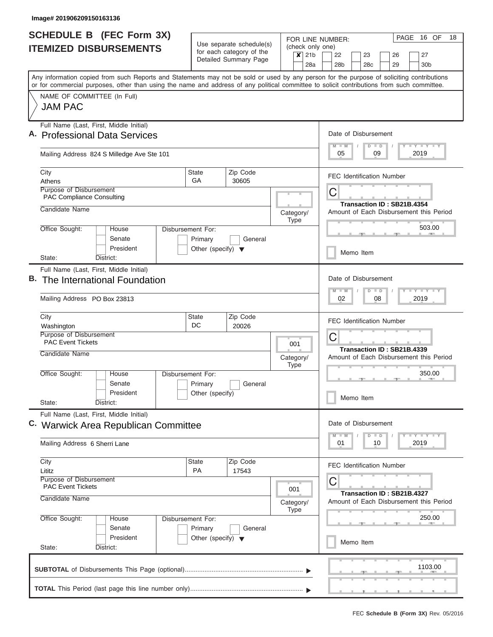|                               | <b>SCHEDULE B (FEC Form 3X)</b>                                                                                                                                                                                                                                                         |                                                      |                       |  |                          | PAGE 16 OF<br>18<br>FOR LINE NUMBER:                                                       |
|-------------------------------|-----------------------------------------------------------------------------------------------------------------------------------------------------------------------------------------------------------------------------------------------------------------------------------------|------------------------------------------------------|-----------------------|--|--------------------------|--------------------------------------------------------------------------------------------|
| <b>ITEMIZED DISBURSEMENTS</b> |                                                                                                                                                                                                                                                                                         | Use separate schedule(s)<br>for each category of the |                       |  | (check only one)         |                                                                                            |
|                               |                                                                                                                                                                                                                                                                                         |                                                      | Detailed Summary Page |  | $x$ 21b                  | 22<br>27<br>23<br>26<br>28 <sub>b</sub><br>28a<br>28 <sub>c</sub><br>29<br>30 <sub>b</sub> |
|                               | Any information copied from such Reports and Statements may not be sold or used by any person for the purpose of soliciting contributions<br>or for commercial purposes, other than using the name and address of any political committee to solicit contributions from such committee. |                                                      |                       |  |                          |                                                                                            |
|                               | NAME OF COMMITTEE (In Full)                                                                                                                                                                                                                                                             |                                                      |                       |  |                          |                                                                                            |
|                               | <b>JAM PAC</b>                                                                                                                                                                                                                                                                          |                                                      |                       |  |                          |                                                                                            |
|                               | Full Name (Last, First, Middle Initial)<br>A. Professional Data Services                                                                                                                                                                                                                |                                                      |                       |  |                          | Date of Disbursement                                                                       |
|                               | Mailing Address 824 S Milledge Ave Ste 101                                                                                                                                                                                                                                              |                                                      |                       |  |                          | Y I Y I Y I Y<br>$D$ $D$<br>$M$ $M$<br>2019<br>05<br>09                                    |
|                               | City<br>Athens                                                                                                                                                                                                                                                                          | <b>State</b><br>GA                                   | Zip Code<br>30605     |  |                          | <b>FEC Identification Number</b>                                                           |
|                               | Purpose of Disbursement<br><b>PAC Compliance Consulting</b>                                                                                                                                                                                                                             |                                                      |                       |  |                          | C                                                                                          |
|                               | Candidate Name                                                                                                                                                                                                                                                                          |                                                      |                       |  | Category/<br>Type        | Transaction ID: SB21B.4354<br>Amount of Each Disbursement this Period                      |
|                               | Office Sought:<br>House<br>Senate                                                                                                                                                                                                                                                       | Disbursement For:<br>Primary                         | General               |  |                          | 503.00                                                                                     |
|                               | President<br>State:<br>District:                                                                                                                                                                                                                                                        | Other (specify) $\blacktriangledown$                 |                       |  |                          | Memo Item                                                                                  |
|                               | Full Name (Last, First, Middle Initial)                                                                                                                                                                                                                                                 |                                                      |                       |  |                          |                                                                                            |
|                               | B. The International Foundation                                                                                                                                                                                                                                                         |                                                      |                       |  |                          | Date of Disbursement<br>$-1 - Y - 1 - Y - 1 - Y$<br>$D$ $D$<br>$M - M$                     |
|                               | Mailing Address PO Box 23813                                                                                                                                                                                                                                                            |                                                      |                       |  |                          | 02<br>08<br>2019                                                                           |
|                               | City                                                                                                                                                                                                                                                                                    | State<br>DC                                          | Zip Code<br>20026     |  |                          | <b>FEC Identification Number</b>                                                           |
|                               | Washington<br>Purpose of Disbursement<br><b>PAC Event Tickets</b>                                                                                                                                                                                                                       |                                                      |                       |  | 001                      | С                                                                                          |
|                               | Candidate Name                                                                                                                                                                                                                                                                          |                                                      |                       |  | Category/<br><b>Type</b> | Transaction ID: SB21B.4339<br>Amount of Each Disbursement this Period                      |
|                               | Office Sought:<br>House<br>Senate                                                                                                                                                                                                                                                       | Disbursement For:<br>Primary                         | General               |  |                          | 350.00<br><b>CONTRACTOR</b>                                                                |
|                               | President<br>State:<br>District:                                                                                                                                                                                                                                                        | Other (specify)                                      |                       |  |                          | Memo Item                                                                                  |
|                               | Full Name (Last, First, Middle Initial)                                                                                                                                                                                                                                                 |                                                      |                       |  |                          |                                                                                            |
|                               | C. Warwick Area Republican Committee                                                                                                                                                                                                                                                    |                                                      |                       |  |                          | Date of Disbursement<br>$D$ $D$<br>$T$ $T$ $T$ $T$ $T$ $T$ $T$ $T$ $T$<br>$M - M$          |
|                               | Mailing Address 6 Sherri Lane                                                                                                                                                                                                                                                           |                                                      |                       |  |                          | 01<br>2019<br>10                                                                           |
|                               | City<br>Lititz                                                                                                                                                                                                                                                                          | <b>State</b><br><b>PA</b>                            | Zip Code<br>17543     |  |                          | <b>FEC Identification Number</b>                                                           |
|                               | Purpose of Disbursement<br><b>PAC Event Tickets</b>                                                                                                                                                                                                                                     |                                                      |                       |  | 001                      | С<br>Transaction ID: SB21B.4327                                                            |
|                               | Candidate Name                                                                                                                                                                                                                                                                          |                                                      |                       |  |                          | Amount of Each Disbursement this Period<br>Category/                                       |
|                               | Office Sought:<br>House<br>Senate                                                                                                                                                                                                                                                       | Disbursement For:<br>Primary                         | General               |  |                          | 250.00                                                                                     |
|                               | President<br>State:<br>District:                                                                                                                                                                                                                                                        | Other (specify) $\blacktriangledown$                 |                       |  |                          | Memo Item                                                                                  |
|                               |                                                                                                                                                                                                                                                                                         |                                                      |                       |  |                          | 1103.00                                                                                    |
|                               |                                                                                                                                                                                                                                                                                         |                                                      |                       |  |                          |                                                                                            |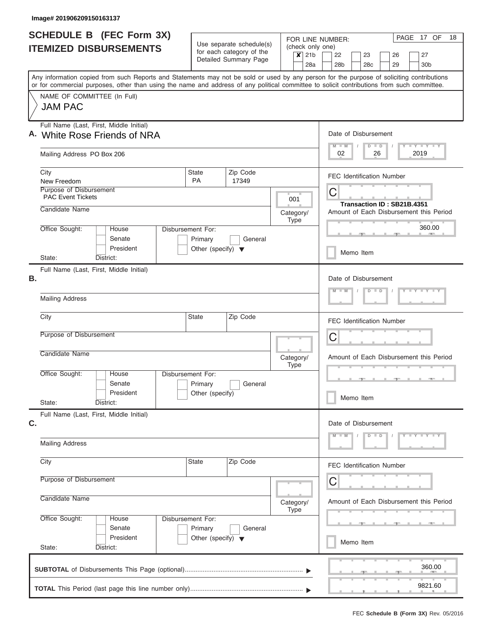| <b>SCHEDULE B (FEC Form 3X)</b>                                                                                                                                                                                                                                                         |                                                                      | Use separate schedule(s)                          | FOR LINE NUMBER:                   | PAGE 17 OF<br>18                                                                    |  |  |
|-----------------------------------------------------------------------------------------------------------------------------------------------------------------------------------------------------------------------------------------------------------------------------------------|----------------------------------------------------------------------|---------------------------------------------------|------------------------------------|-------------------------------------------------------------------------------------|--|--|
| <b>ITEMIZED DISBURSEMENTS</b>                                                                                                                                                                                                                                                           |                                                                      | for each category of the<br>Detailed Summary Page | (check only one)<br>$x$ 21b<br>28a | 22<br>23<br>26<br>27<br>28 <sub>b</sub><br>28 <sub>c</sub><br>29<br>30 <sub>b</sub> |  |  |
| Any information copied from such Reports and Statements may not be sold or used by any person for the purpose of soliciting contributions<br>or for commercial purposes, other than using the name and address of any political committee to solicit contributions from such committee. |                                                                      |                                                   |                                    |                                                                                     |  |  |
| NAME OF COMMITTEE (In Full)<br><b>JAM PAC</b>                                                                                                                                                                                                                                           |                                                                      |                                                   |                                    |                                                                                     |  |  |
| Full Name (Last, First, Middle Initial)<br>A. White Rose Friends of NRA                                                                                                                                                                                                                 |                                                                      |                                                   |                                    | Date of Disbursement<br>Y I Y I Y I Y<br>$M$ $M$<br>$D$ $D$                         |  |  |
| Mailing Address PO Box 206                                                                                                                                                                                                                                                              |                                                                      |                                                   |                                    | 02<br>26<br>2019                                                                    |  |  |
| City<br>New Freedom                                                                                                                                                                                                                                                                     | <b>State</b><br><b>PA</b>                                            | Zip Code<br>17349                                 |                                    | <b>FEC Identification Number</b>                                                    |  |  |
| Purpose of Disbursement<br><b>PAC Event Tickets</b>                                                                                                                                                                                                                                     |                                                                      |                                                   | 001                                | $\mathsf C$                                                                         |  |  |
| Candidate Name                                                                                                                                                                                                                                                                          |                                                                      |                                                   | Category/<br>Type                  | Transaction ID: SB21B.4351<br>Amount of Each Disbursement this Period               |  |  |
| Office Sought:<br>House<br>Senate<br>President                                                                                                                                                                                                                                          | Disbursement For:<br>Primary<br>Other (specify) $\blacktriangledown$ | General                                           |                                    | 360.00                                                                              |  |  |
| State:<br>District:                                                                                                                                                                                                                                                                     |                                                                      |                                                   |                                    | Memo Item                                                                           |  |  |
| Full Name (Last, First, Middle Initial)<br>В.                                                                                                                                                                                                                                           |                                                                      |                                                   |                                    | Date of Disbursement<br>$Y = Y = Y = Y$<br>$M - M$<br>$D$ $D$                       |  |  |
| <b>Mailing Address</b>                                                                                                                                                                                                                                                                  |                                                                      |                                                   |                                    |                                                                                     |  |  |
| City                                                                                                                                                                                                                                                                                    |                                                                      | <b>FEC Identification Number</b>                  |                                    |                                                                                     |  |  |
| Purpose of Disbursement                                                                                                                                                                                                                                                                 |                                                                      |                                                   |                                    | C                                                                                   |  |  |
| Candidate Name                                                                                                                                                                                                                                                                          |                                                                      |                                                   | Category/<br><b>Type</b>           | Amount of Each Disbursement this Period                                             |  |  |
| Office Sought:<br>House<br>Senate<br>President                                                                                                                                                                                                                                          | Disbursement For:<br>Primary<br>Other (specify)                      | General                                           |                                    |                                                                                     |  |  |
| State:<br>District:                                                                                                                                                                                                                                                                     |                                                                      |                                                   |                                    | Memo Item                                                                           |  |  |
| Full Name (Last, First, Middle Initial)<br>C.                                                                                                                                                                                                                                           |                                                                      |                                                   |                                    | Date of Disbursement<br>$Y - Y - Y - Y - Y$<br>$M - M$<br>$D$ $D$                   |  |  |
| <b>Mailing Address</b>                                                                                                                                                                                                                                                                  |                                                                      |                                                   |                                    |                                                                                     |  |  |
| City                                                                                                                                                                                                                                                                                    | State                                                                | Zip Code                                          |                                    | <b>FEC Identification Number</b>                                                    |  |  |
| Purpose of Disbursement                                                                                                                                                                                                                                                                 |                                                                      | С                                                 |                                    |                                                                                     |  |  |
| Candidate Name                                                                                                                                                                                                                                                                          | Category/<br><b>Type</b>                                             |                                                   |                                    |                                                                                     |  |  |
| Office Sought:<br>House<br>Senate                                                                                                                                                                                                                                                       | Disbursement For:<br>General                                         |                                                   |                                    |                                                                                     |  |  |
| President<br>State:<br>District:                                                                                                                                                                                                                                                        | Primary<br>Other (specify) $\blacktriangledown$                      |                                                   |                                    |                                                                                     |  |  |
|                                                                                                                                                                                                                                                                                         |                                                                      |                                                   |                                    | 360.00                                                                              |  |  |
|                                                                                                                                                                                                                                                                                         |                                                                      |                                                   |                                    | 9821.60                                                                             |  |  |